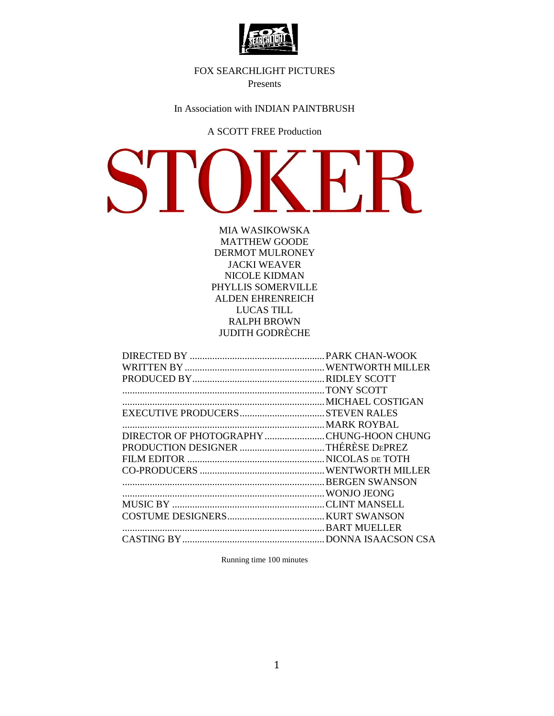

## FOX SEARCHLIGHT PICTURES

Presents

In Association with INDIAN PAINTBRUSH

## A SCOTT FREE Production

S

MIA WASIKOWSKA MATTHEW GOODE DERMOT MULRONEY JACKI WEAVER NICOLE KIDMAN PHYLLIS SOMERVILLE ALDEN EHRENREICH LUCAS TILL RALPH BROWN JUDITH GODRÈCHE

| DIRECTOR OF PHOTOGRAPHY CHUNG-HOON CHUNG |  |
|------------------------------------------|--|
|                                          |  |
|                                          |  |
|                                          |  |
|                                          |  |
|                                          |  |
|                                          |  |
|                                          |  |
|                                          |  |
|                                          |  |
|                                          |  |

Running time 100 minutes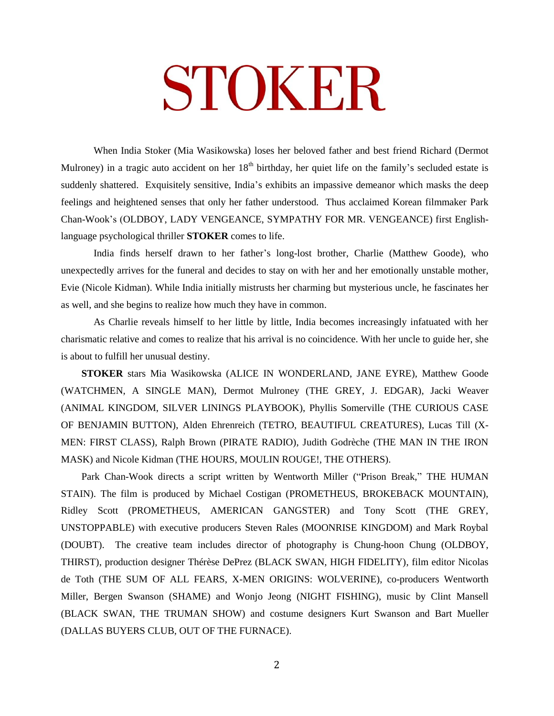# STOKER

When India Stoker (Mia Wasikowska) loses her beloved father and best friend Richard (Dermot Mulroney) in a tragic auto accident on her  $18<sup>th</sup>$  birthday, her quiet life on the family's secluded estate is suddenly shattered. Exquisitely sensitive, India's exhibits an impassive demeanor which masks the deep feelings and heightened senses that only her father understood. Thus acclaimed Korean filmmaker Park Chan-Wook's (OLDBOY, LADY VENGEANCE, SYMPATHY FOR MR. VENGEANCE) first Englishlanguage psychological thriller **STOKER** comes to life.

India finds herself drawn to her father's long-lost brother, Charlie (Matthew Goode), who unexpectedly arrives for the funeral and decides to stay on with her and her emotionally unstable mother, Evie (Nicole Kidman). While India initially mistrusts her charming but mysterious uncle, he fascinates her as well, and she begins to realize how much they have in common.

As Charlie reveals himself to her little by little, India becomes increasingly infatuated with her charismatic relative and comes to realize that his arrival is no coincidence. With her uncle to guide her, she is about to fulfill her unusual destiny.

**STOKER** stars Mia Wasikowska (ALICE IN WONDERLAND, JANE EYRE), Matthew Goode (WATCHMEN, A SINGLE MAN), Dermot Mulroney (THE GREY, J. EDGAR), Jacki Weaver (ANIMAL KINGDOM, SILVER LININGS PLAYBOOK), Phyllis Somerville (THE CURIOUS CASE OF BENJAMIN BUTTON), Alden Ehrenreich (TETRO, BEAUTIFUL CREATURES), Lucas Till (X-MEN: FIRST CLASS), Ralph Brown (PIRATE RADIO), Judith Godrèche (THE MAN IN THE IRON MASK) and Nicole Kidman (THE HOURS, MOULIN ROUGE!, THE OTHERS).

Park Chan-Wook directs a script written by Wentworth Miller ("Prison Break," THE HUMAN STAIN). The film is produced by Michael Costigan (PROMETHEUS, BROKEBACK MOUNTAIN), Ridley Scott (PROMETHEUS, AMERICAN GANGSTER) and Tony Scott (THE GREY, UNSTOPPABLE) with executive producers Steven Rales (MOONRISE KINGDOM) and Mark Roybal (DOUBT). The creative team includes director of photography is Chung-hoon Chung (OLDBOY, THIRST), production designer Thérèse DePrez (BLACK SWAN, HIGH FIDELITY), film editor Nicolas de Toth (THE SUM OF ALL FEARS, X-MEN ORIGINS: WOLVERINE), co-producers Wentworth Miller, Bergen Swanson (SHAME) and Wonjo Jeong (NIGHT FISHING), music by Clint Mansell (BLACK SWAN, THE TRUMAN SHOW) and costume designers Kurt Swanson and Bart Mueller (DALLAS BUYERS CLUB, OUT OF THE FURNACE).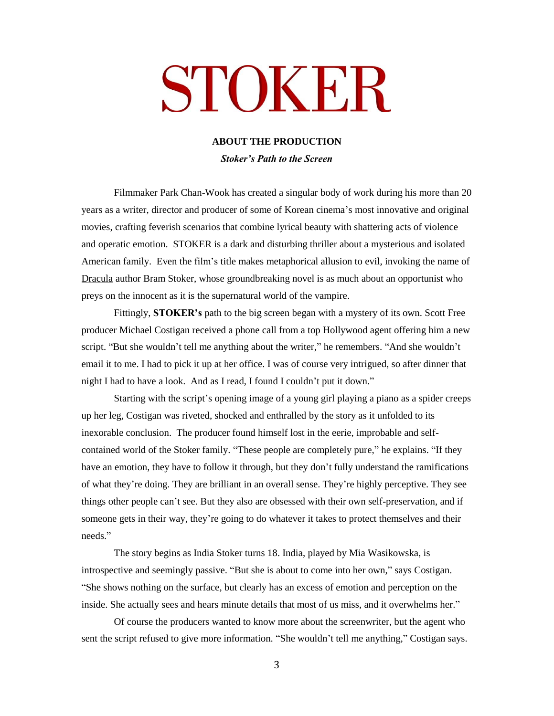# STOKER

#### **ABOUT THE PRODUCTION**

*Stoker's Path to the Screen*

Filmmaker Park Chan-Wook has created a singular body of work during his more than 20 years as a writer, director and producer of some of Korean cinema's most innovative and original movies, crafting feverish scenarios that combine lyrical beauty with shattering acts of violence and operatic emotion. STOKER is a dark and disturbing thriller about a mysterious and isolated American family. Even the film's title makes metaphorical allusion to evil, invoking the name of Dracula author Bram Stoker, whose groundbreaking novel is as much about an opportunist who preys on the innocent as it is the supernatural world of the vampire.

Fittingly, **STOKER's** path to the big screen began with a mystery of its own. Scott Free producer Michael Costigan received a phone call from a top Hollywood agent offering him a new script. "But she wouldn't tell me anything about the writer," he remembers. "And she wouldn't email it to me. I had to pick it up at her office. I was of course very intrigued, so after dinner that night I had to have a look. And as I read, I found I couldn't put it down."

Starting with the script's opening image of a young girl playing a piano as a spider creeps up her leg, Costigan was riveted, shocked and enthralled by the story as it unfolded to its inexorable conclusion. The producer found himself lost in the eerie, improbable and selfcontained world of the Stoker family. "These people are completely pure," he explains. "If they have an emotion, they have to follow it through, but they don't fully understand the ramifications of what they're doing. They are brilliant in an overall sense. They're highly perceptive. They see things other people can't see. But they also are obsessed with their own self-preservation, and if someone gets in their way, they're going to do whatever it takes to protect themselves and their needs."

The story begins as India Stoker turns 18. India, played by Mia Wasikowska, is introspective and seemingly passive. "But she is about to come into her own," says Costigan. "She shows nothing on the surface, but clearly has an excess of emotion and perception on the inside. She actually sees and hears minute details that most of us miss, and it overwhelms her."

Of course the producers wanted to know more about the screenwriter, but the agent who sent the script refused to give more information. "She wouldn't tell me anything," Costigan says.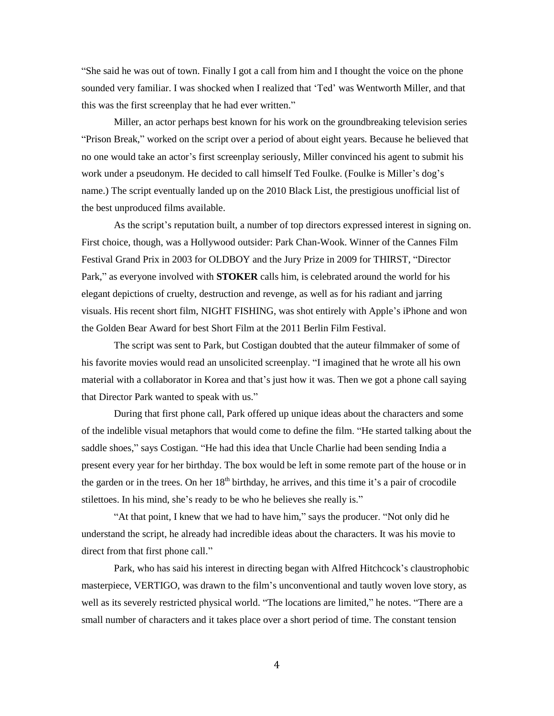"She said he was out of town. Finally I got a call from him and I thought the voice on the phone sounded very familiar. I was shocked when I realized that 'Ted' was Wentworth Miller, and that this was the first screenplay that he had ever written."

Miller, an actor perhaps best known for his work on the groundbreaking television series "Prison Break," worked on the script over a period of about eight years. Because he believed that no one would take an actor's first screenplay seriously, Miller convinced his agent to submit his work under a pseudonym. He decided to call himself Ted Foulke. (Foulke is Miller's dog's name.) The script eventually landed up on the 2010 Black List, the prestigious unofficial list of the best unproduced films available.

As the script's reputation built, a number of top directors expressed interest in signing on. First choice, though, was a Hollywood outsider: Park Chan-Wook. Winner of the Cannes Film Festival Grand Prix in 2003 for OLDBOY and the Jury Prize in 2009 for THIRST, "Director Park," as everyone involved with **STOKER** calls him, is celebrated around the world for his elegant depictions of cruelty, destruction and revenge, as well as for his radiant and jarring visuals. His recent short film, NIGHT FISHING, was shot entirely with Apple's iPhone and won the Golden Bear Award for best Short Film at the 2011 Berlin Film Festival.

The script was sent to Park, but Costigan doubted that the auteur filmmaker of some of his favorite movies would read an unsolicited screenplay. "I imagined that he wrote all his own material with a collaborator in Korea and that's just how it was. Then we got a phone call saying that Director Park wanted to speak with us."

During that first phone call, Park offered up unique ideas about the characters and some of the indelible visual metaphors that would come to define the film. "He started talking about the saddle shoes," says Costigan. "He had this idea that Uncle Charlie had been sending India a present every year for her birthday. The box would be left in some remote part of the house or in the garden or in the trees. On her 18<sup>th</sup> birthday, he arrives, and this time it's a pair of crocodile stilettoes. In his mind, she's ready to be who he believes she really is."

"At that point, I knew that we had to have him," says the producer. "Not only did he understand the script, he already had incredible ideas about the characters. It was his movie to direct from that first phone call."

Park, who has said his interest in directing began with Alfred Hitchcock's claustrophobic masterpiece, VERTIGO, was drawn to the film's unconventional and tautly woven love story, as well as its severely restricted physical world. "The locations are limited," he notes. "There are a small number of characters and it takes place over a short period of time. The constant tension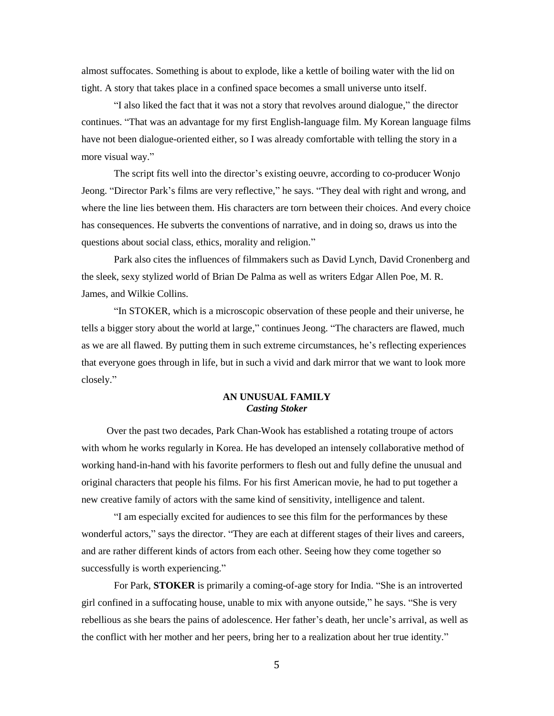almost suffocates. Something is about to explode, like a kettle of boiling water with the lid on tight. A story that takes place in a confined space becomes a small universe unto itself.

"I also liked the fact that it was not a story that revolves around dialogue," the director continues. "That was an advantage for my first English-language film. My Korean language films have not been dialogue-oriented either, so I was already comfortable with telling the story in a more visual way."

The script fits well into the director's existing oeuvre, according to co-producer Wonjo Jeong. "Director Park's films are very reflective," he says. "They deal with right and wrong, and where the line lies between them. His characters are torn between their choices. And every choice has consequences. He subverts the conventions of narrative, and in doing so, draws us into the questions about social class, ethics, morality and religion."

Park also cites the influences of filmmakers such as David Lynch, David Cronenberg and the sleek, sexy stylized world of Brian De Palma as well as writers Edgar Allen Poe, M. R. James, and Wilkie Collins.

"In STOKER, which is a microscopic observation of these people and their universe, he tells a bigger story about the world at large," continues Jeong. "The characters are flawed, much as we are all flawed. By putting them in such extreme circumstances, he's reflecting experiences that everyone goes through in life, but in such a vivid and dark mirror that we want to look more closely."

#### **AN UNUSUAL FAMILY**  *Casting Stoker*

Over the past two decades, Park Chan-Wook has established a rotating troupe of actors with whom he works regularly in Korea. He has developed an intensely collaborative method of working hand-in-hand with his favorite performers to flesh out and fully define the unusual and original characters that people his films. For his first American movie, he had to put together a new creative family of actors with the same kind of sensitivity, intelligence and talent.

"I am especially excited for audiences to see this film for the performances by these wonderful actors," says the director. "They are each at different stages of their lives and careers, and are rather different kinds of actors from each other. Seeing how they come together so successfully is worth experiencing."

For Park, **STOKER** is primarily a coming-of-age story for India. "She is an introverted girl confined in a suffocating house, unable to mix with anyone outside," he says. "She is very rebellious as she bears the pains of adolescence. Her father's death, her uncle's arrival, as well as the conflict with her mother and her peers, bring her to a realization about her true identity."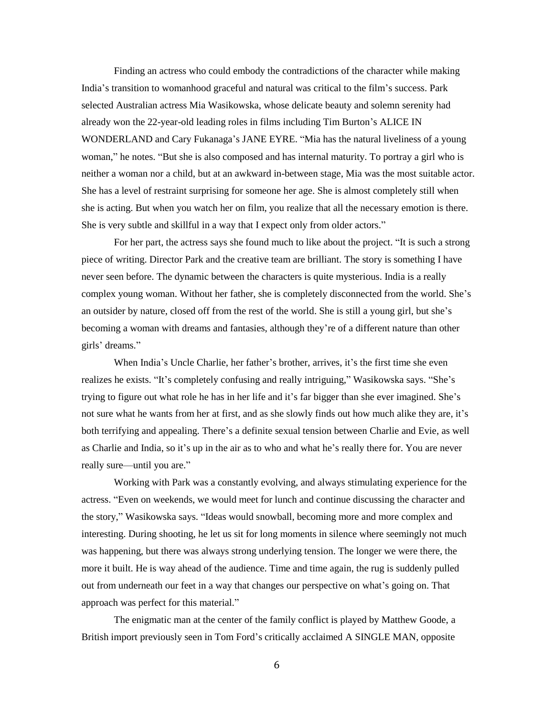Finding an actress who could embody the contradictions of the character while making India's transition to womanhood graceful and natural was critical to the film's success. Park selected Australian actress Mia Wasikowska, whose delicate beauty and solemn serenity had already won the 22-year-old leading roles in films including Tim Burton's ALICE IN WONDERLAND and Cary Fukanaga's JANE EYRE. "Mia has the natural liveliness of a young woman," he notes. "But she is also composed and has internal maturity. To portray a girl who is neither a woman nor a child, but at an awkward in-between stage, Mia was the most suitable actor. She has a level of restraint surprising for someone her age. She is almost completely still when she is acting. But when you watch her on film, you realize that all the necessary emotion is there. She is very subtle and skillful in a way that I expect only from older actors."

For her part, the actress says she found much to like about the project. "It is such a strong piece of writing. Director Park and the creative team are brilliant. The story is something I have never seen before. The dynamic between the characters is quite mysterious. India is a really complex young woman. Without her father, she is completely disconnected from the world. She's an outsider by nature, closed off from the rest of the world. She is still a young girl, but she's becoming a woman with dreams and fantasies, although they're of a different nature than other girls' dreams."

When India's Uncle Charlie, her father's brother, arrives, it's the first time she even realizes he exists. "It's completely confusing and really intriguing," Wasikowska says. "She's trying to figure out what role he has in her life and it's far bigger than she ever imagined. She's not sure what he wants from her at first, and as she slowly finds out how much alike they are, it's both terrifying and appealing. There's a definite sexual tension between Charlie and Evie, as well as Charlie and India, so it's up in the air as to who and what he's really there for. You are never really sure—until you are."

Working with Park was a constantly evolving, and always stimulating experience for the actress. "Even on weekends, we would meet for lunch and continue discussing the character and the story," Wasikowska says. "Ideas would snowball, becoming more and more complex and interesting. During shooting, he let us sit for long moments in silence where seemingly not much was happening, but there was always strong underlying tension. The longer we were there, the more it built. He is way ahead of the audience. Time and time again, the rug is suddenly pulled out from underneath our feet in a way that changes our perspective on what's going on. That approach was perfect for this material."

The enigmatic man at the center of the family conflict is played by Matthew Goode, a British import previously seen in Tom Ford's critically acclaimed A SINGLE MAN, opposite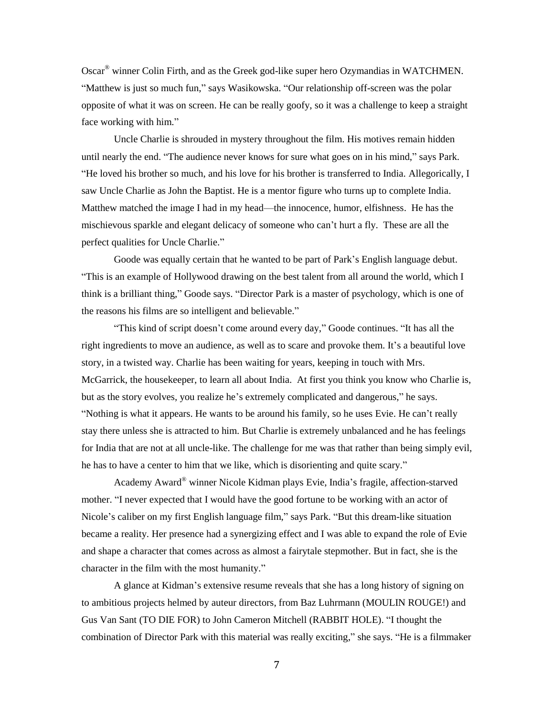Oscar® winner Colin Firth, and as the Greek god-like super hero Ozymandias in WATCHMEN. "Matthew is just so much fun," says Wasikowska. "Our relationship off-screen was the polar opposite of what it was on screen. He can be really goofy, so it was a challenge to keep a straight face working with him."

Uncle Charlie is shrouded in mystery throughout the film. His motives remain hidden until nearly the end. "The audience never knows for sure what goes on in his mind," says Park. "He loved his brother so much, and his love for his brother is transferred to India. Allegorically, I saw Uncle Charlie as John the Baptist. He is a mentor figure who turns up to complete India. Matthew matched the image I had in my head—the innocence, humor, elfishness. He has the mischievous sparkle and elegant delicacy of someone who can't hurt a fly. These are all the perfect qualities for Uncle Charlie."

Goode was equally certain that he wanted to be part of Park's English language debut. "This is an example of Hollywood drawing on the best talent from all around the world, which I think is a brilliant thing," Goode says. "Director Park is a master of psychology, which is one of the reasons his films are so intelligent and believable."

"This kind of script doesn't come around every day," Goode continues. "It has all the right ingredients to move an audience, as well as to scare and provoke them. It's a beautiful love story, in a twisted way. Charlie has been waiting for years, keeping in touch with Mrs. McGarrick, the housekeeper, to learn all about India. At first you think you know who Charlie is, but as the story evolves, you realize he's extremely complicated and dangerous," he says. "Nothing is what it appears. He wants to be around his family, so he uses Evie. He can't really stay there unless she is attracted to him. But Charlie is extremely unbalanced and he has feelings for India that are not at all uncle-like. The challenge for me was that rather than being simply evil, he has to have a center to him that we like, which is disorienting and quite scary."

Academy Award® winner Nicole Kidman plays Evie, India's fragile, affection-starved mother. "I never expected that I would have the good fortune to be working with an actor of Nicole's caliber on my first English language film," says Park. "But this dream-like situation became a reality. Her presence had a synergizing effect and I was able to expand the role of Evie and shape a character that comes across as almost a fairytale stepmother. But in fact, she is the character in the film with the most humanity."

A glance at Kidman's extensive resume reveals that she has a long history of signing on to ambitious projects helmed by auteur directors, from Baz Luhrmann (MOULIN ROUGE!) and Gus Van Sant (TO DIE FOR) to John Cameron Mitchell (RABBIT HOLE). "I thought the combination of Director Park with this material was really exciting," she says. "He is a filmmaker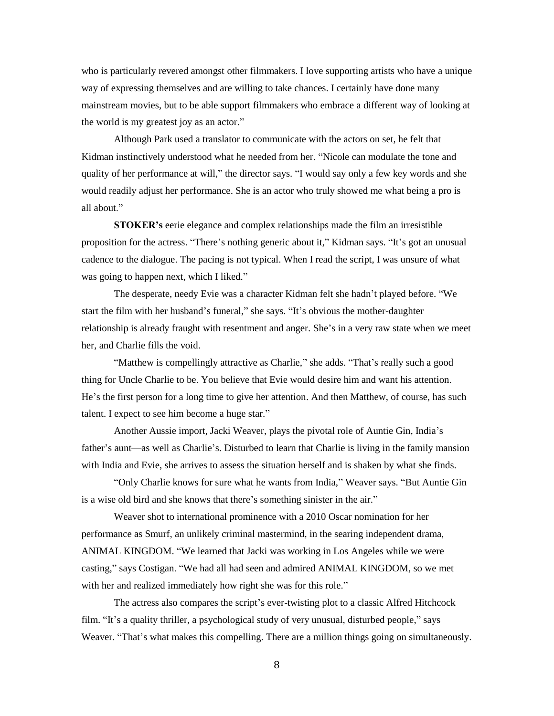who is particularly revered amongst other filmmakers. I love supporting artists who have a unique way of expressing themselves and are willing to take chances. I certainly have done many mainstream movies, but to be able support filmmakers who embrace a different way of looking at the world is my greatest joy as an actor."

Although Park used a translator to communicate with the actors on set, he felt that Kidman instinctively understood what he needed from her. "Nicole can modulate the tone and quality of her performance at will," the director says. "I would say only a few key words and she would readily adjust her performance. She is an actor who truly showed me what being a pro is all about."

**STOKER's** eerie elegance and complex relationships made the film an irresistible proposition for the actress. "There's nothing generic about it," Kidman says. "It's got an unusual cadence to the dialogue. The pacing is not typical. When I read the script, I was unsure of what was going to happen next, which I liked."

The desperate, needy Evie was a character Kidman felt she hadn't played before. "We start the film with her husband's funeral," she says. "It's obvious the mother-daughter relationship is already fraught with resentment and anger. She's in a very raw state when we meet her, and Charlie fills the void.

"Matthew is compellingly attractive as Charlie," she adds. "That's really such a good thing for Uncle Charlie to be. You believe that Evie would desire him and want his attention. He's the first person for a long time to give her attention. And then Matthew, of course, has such talent. I expect to see him become a huge star."

Another Aussie import, Jacki Weaver, plays the pivotal role of Auntie Gin, India's father's aunt—as well as Charlie's. Disturbed to learn that Charlie is living in the family mansion with India and Evie, she arrives to assess the situation herself and is shaken by what she finds.

"Only Charlie knows for sure what he wants from India," Weaver says. "But Auntie Gin is a wise old bird and she knows that there's something sinister in the air."

Weaver shot to international prominence with a 2010 Oscar nomination for her performance as Smurf, an unlikely criminal mastermind, in the searing independent drama, ANIMAL KINGDOM. "We learned that Jacki was working in Los Angeles while we were casting," says Costigan. "We had all had seen and admired ANIMAL KINGDOM, so we met with her and realized immediately how right she was for this role."

The actress also compares the script's ever-twisting plot to a classic Alfred Hitchcock film. "It's a quality thriller, a psychological study of very unusual, disturbed people," says Weaver. "That's what makes this compelling. There are a million things going on simultaneously.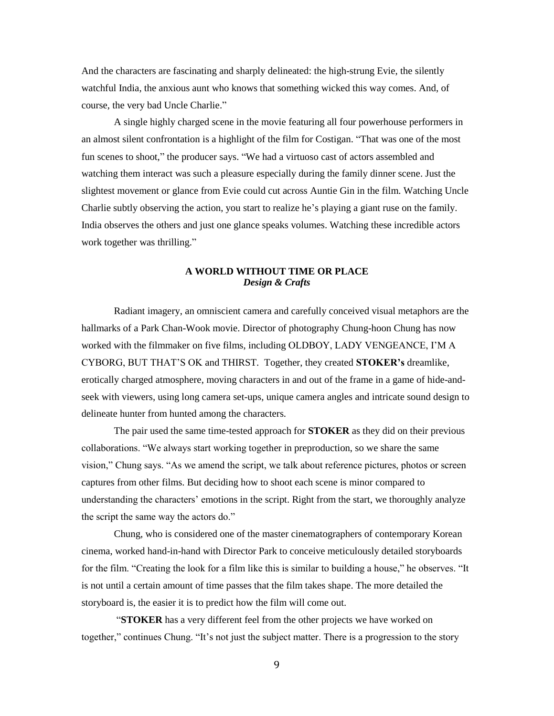And the characters are fascinating and sharply delineated: the high-strung Evie, the silently watchful India, the anxious aunt who knows that something wicked this way comes. And, of course, the very bad Uncle Charlie."

A single highly charged scene in the movie featuring all four powerhouse performers in an almost silent confrontation is a highlight of the film for Costigan. "That was one of the most fun scenes to shoot," the producer says. "We had a virtuoso cast of actors assembled and watching them interact was such a pleasure especially during the family dinner scene. Just the slightest movement or glance from Evie could cut across Auntie Gin in the film. Watching Uncle Charlie subtly observing the action, you start to realize he's playing a giant ruse on the family. India observes the others and just one glance speaks volumes. Watching these incredible actors work together was thrilling."

## **A WORLD WITHOUT TIME OR PLACE** *Design & Crafts*

Radiant imagery, an omniscient camera and carefully conceived visual metaphors are the hallmarks of a Park Chan-Wook movie. Director of photography Chung-hoon Chung has now worked with the filmmaker on five films, including OLDBOY, LADY VENGEANCE, I'M A CYBORG, BUT THAT'S OK and THIRST*.* Together, they created **STOKER's** dreamlike, erotically charged atmosphere, moving characters in and out of the frame in a game of hide-andseek with viewers, using long camera set-ups, unique camera angles and intricate sound design to delineate hunter from hunted among the characters.

The pair used the same time-tested approach for **STOKER** as they did on their previous collaborations. "We always start working together in preproduction, so we share the same vision," Chung says. "As we amend the script, we talk about reference pictures, photos or screen captures from other films. But deciding how to shoot each scene is minor compared to understanding the characters' emotions in the script. Right from the start, we thoroughly analyze the script the same way the actors do."

Chung, who is considered one of the master cinematographers of contemporary Korean cinema, worked hand-in-hand with Director Park to conceive meticulously detailed storyboards for the film. "Creating the look for a film like this is similar to building a house," he observes. "It is not until a certain amount of time passes that the film takes shape. The more detailed the storyboard is, the easier it is to predict how the film will come out.

"**STOKER** has a very different feel from the other projects we have worked on together," continues Chung. "It's not just the subject matter. There is a progression to the story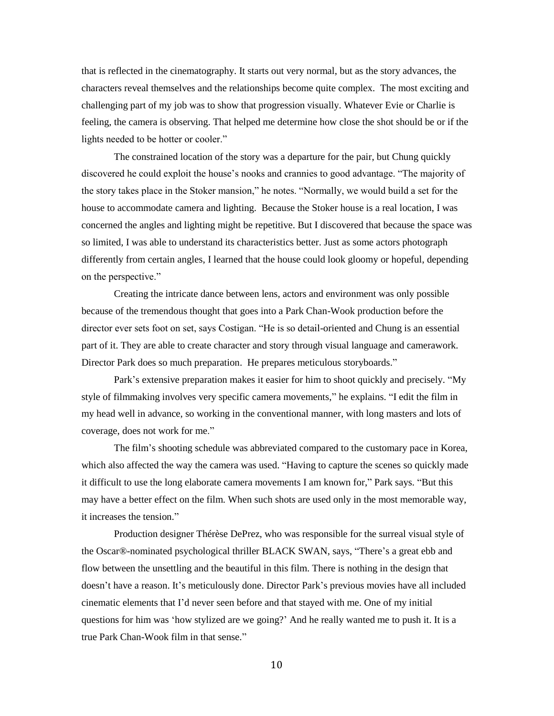that is reflected in the cinematography. It starts out very normal, but as the story advances, the characters reveal themselves and the relationships become quite complex. The most exciting and challenging part of my job was to show that progression visually. Whatever Evie or Charlie is feeling, the camera is observing. That helped me determine how close the shot should be or if the lights needed to be hotter or cooler."

The constrained location of the story was a departure for the pair, but Chung quickly discovered he could exploit the house's nooks and crannies to good advantage. "The majority of the story takes place in the Stoker mansion," he notes. "Normally, we would build a set for the house to accommodate camera and lighting. Because the Stoker house is a real location, I was concerned the angles and lighting might be repetitive. But I discovered that because the space was so limited, I was able to understand its characteristics better. Just as some actors photograph differently from certain angles, I learned that the house could look gloomy or hopeful, depending on the perspective."

Creating the intricate dance between lens, actors and environment was only possible because of the tremendous thought that goes into a Park Chan-Wook production before the director ever sets foot on set, says Costigan. "He is so detail-oriented and Chung is an essential part of it. They are able to create character and story through visual language and camerawork. Director Park does so much preparation. He prepares meticulous storyboards."

Park's extensive preparation makes it easier for him to shoot quickly and precisely. "My style of filmmaking involves very specific camera movements," he explains. "I edit the film in my head well in advance, so working in the conventional manner, with long masters and lots of coverage, does not work for me."

The film's shooting schedule was abbreviated compared to the customary pace in Korea, which also affected the way the camera was used. "Having to capture the scenes so quickly made it difficult to use the long elaborate camera movements I am known for," Park says. "But this may have a better effect on the film. When such shots are used only in the most memorable way, it increases the tension."

Production designer Thérèse DePrez, who was responsible for the surreal visual style of the Oscar®-nominated psychological thriller BLACK SWAN, says, "There's a great ebb and flow between the unsettling and the beautiful in this film. There is nothing in the design that doesn't have a reason. It's meticulously done. Director Park's previous movies have all included cinematic elements that I'd never seen before and that stayed with me. One of my initial questions for him was 'how stylized are we going?' And he really wanted me to push it. It is a true Park Chan-Wook film in that sense."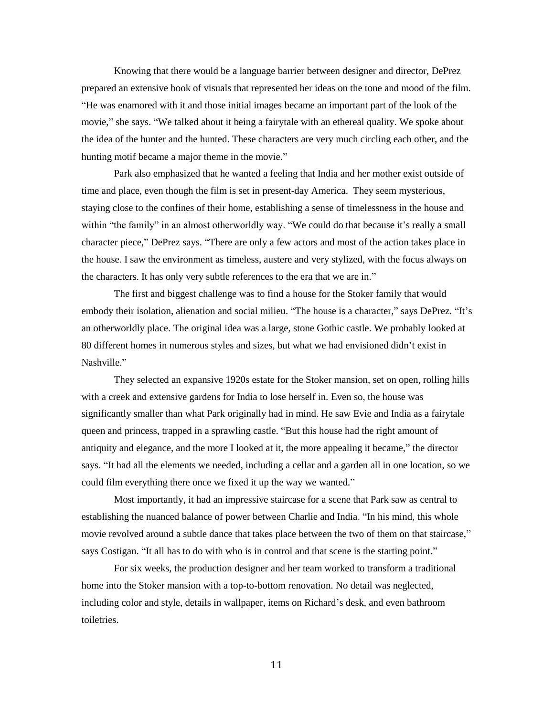Knowing that there would be a language barrier between designer and director, DePrez prepared an extensive book of visuals that represented her ideas on the tone and mood of the film. "He was enamored with it and those initial images became an important part of the look of the movie," she says. "We talked about it being a fairytale with an ethereal quality. We spoke about the idea of the hunter and the hunted. These characters are very much circling each other, and the hunting motif became a major theme in the movie."

Park also emphasized that he wanted a feeling that India and her mother exist outside of time and place, even though the film is set in present-day America. They seem mysterious, staying close to the confines of their home, establishing a sense of timelessness in the house and within "the family" in an almost otherworldly way. "We could do that because it's really a small character piece," DePrez says. "There are only a few actors and most of the action takes place in the house. I saw the environment as timeless, austere and very stylized, with the focus always on the characters. It has only very subtle references to the era that we are in."

The first and biggest challenge was to find a house for the Stoker family that would embody their isolation, alienation and social milieu. "The house is a character," says DePrez. "It's an otherworldly place. The original idea was a large, stone Gothic castle. We probably looked at 80 different homes in numerous styles and sizes, but what we had envisioned didn't exist in Nashville."

They selected an expansive 1920s estate for the Stoker mansion, set on open, rolling hills with a creek and extensive gardens for India to lose herself in. Even so, the house was significantly smaller than what Park originally had in mind. He saw Evie and India as a fairytale queen and princess, trapped in a sprawling castle. "But this house had the right amount of antiquity and elegance, and the more I looked at it, the more appealing it became," the director says. "It had all the elements we needed, including a cellar and a garden all in one location, so we could film everything there once we fixed it up the way we wanted."

Most importantly, it had an impressive staircase for a scene that Park saw as central to establishing the nuanced balance of power between Charlie and India. "In his mind, this whole movie revolved around a subtle dance that takes place between the two of them on that staircase," says Costigan. "It all has to do with who is in control and that scene is the starting point."

For six weeks, the production designer and her team worked to transform a traditional home into the Stoker mansion with a top-to-bottom renovation. No detail was neglected, including color and style, details in wallpaper, items on Richard's desk, and even bathroom toiletries.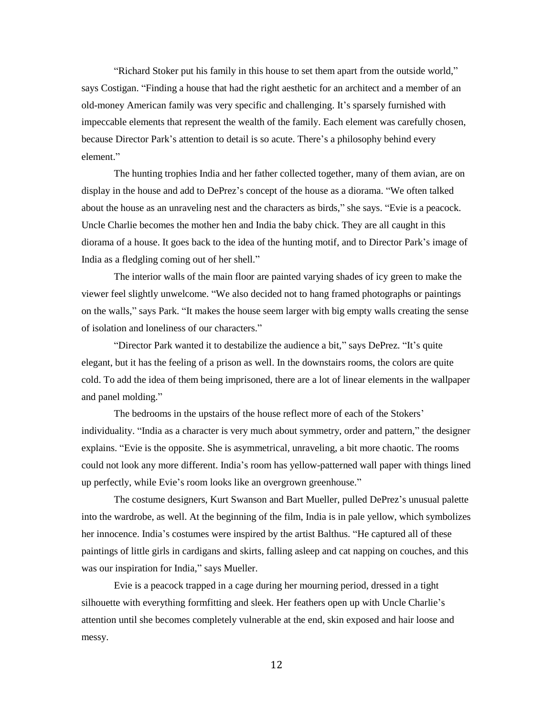"Richard Stoker put his family in this house to set them apart from the outside world," says Costigan. "Finding a house that had the right aesthetic for an architect and a member of an old-money American family was very specific and challenging. It's sparsely furnished with impeccable elements that represent the wealth of the family. Each element was carefully chosen, because Director Park's attention to detail is so acute. There's a philosophy behind every element."

The hunting trophies India and her father collected together, many of them avian, are on display in the house and add to DePrez's concept of the house as a diorama. "We often talked about the house as an unraveling nest and the characters as birds," she says. "Evie is a peacock. Uncle Charlie becomes the mother hen and India the baby chick. They are all caught in this diorama of a house. It goes back to the idea of the hunting motif, and to Director Park's image of India as a fledgling coming out of her shell."

The interior walls of the main floor are painted varying shades of icy green to make the viewer feel slightly unwelcome. "We also decided not to hang framed photographs or paintings on the walls," says Park. "It makes the house seem larger with big empty walls creating the sense of isolation and loneliness of our characters."

"Director Park wanted it to destabilize the audience a bit," says DePrez. "It's quite elegant, but it has the feeling of a prison as well. In the downstairs rooms, the colors are quite cold. To add the idea of them being imprisoned, there are a lot of linear elements in the wallpaper and panel molding."

The bedrooms in the upstairs of the house reflect more of each of the Stokers' individuality. "India as a character is very much about symmetry, order and pattern," the designer explains. "Evie is the opposite. She is asymmetrical, unraveling, a bit more chaotic. The rooms could not look any more different. India's room has yellow-patterned wall paper with things lined up perfectly, while Evie's room looks like an overgrown greenhouse."

The costume designers, Kurt Swanson and Bart Mueller, pulled DePrez's unusual palette into the wardrobe, as well. At the beginning of the film, India is in pale yellow, which symbolizes her innocence. India's costumes were inspired by the artist Balthus. "He captured all of these paintings of little girls in cardigans and skirts, falling asleep and cat napping on couches, and this was our inspiration for India," says Mueller.

Evie is a peacock trapped in a cage during her mourning period, dressed in a tight silhouette with everything formfitting and sleek. Her feathers open up with Uncle Charlie's attention until she becomes completely vulnerable at the end, skin exposed and hair loose and messy.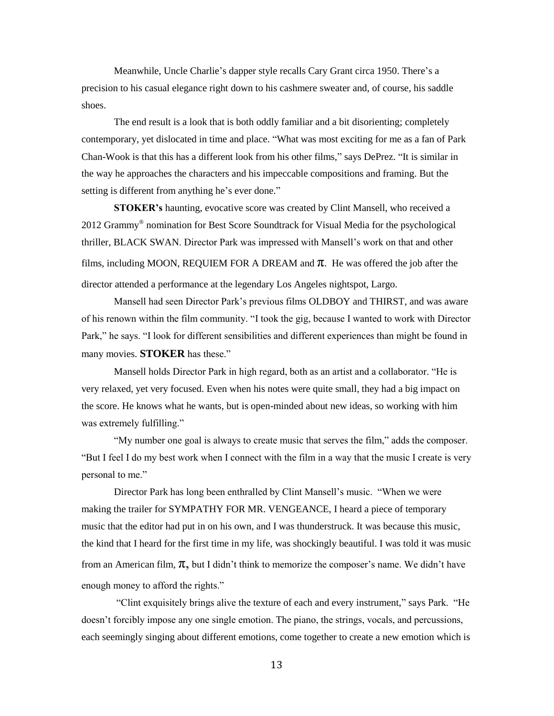Meanwhile, Uncle Charlie's dapper style recalls Cary Grant circa 1950. There's a precision to his casual elegance right down to his cashmere sweater and, of course, his saddle shoes.

The end result is a look that is both oddly familiar and a bit disorienting; completely contemporary, yet dislocated in time and place. "What was most exciting for me as a fan of Park Chan-Wook is that this has a different look from his other films," says DePrez. "It is similar in the way he approaches the characters and his impeccable compositions and framing. But the setting is different from anything he's ever done."

**STOKER's** haunting, evocative score was created by Clint Mansell, who received a 2012 Grammy® nomination for Best Score Soundtrack for Visual Media for the psychological thriller, BLACK SWAN. Director Park was impressed with Mansell's work on that and other films, including MOON, REQUIEM FOR A DREAM and  $\pi$ . He was offered the job after the director attended a performance at the legendary Los Angeles nightspot, Largo.

Mansell had seen Director Park's previous films OLDBOY and THIRST, and was aware of his renown within the film community. "I took the gig, because I wanted to work with Director Park," he says. "I look for different sensibilities and different experiences than might be found in many movies. **STOKER** has these."

Mansell holds Director Park in high regard, both as an artist and a collaborator. "He is very relaxed, yet very focused. Even when his notes were quite small, they had a big impact on the score. He knows what he wants, but is open-minded about new ideas, so working with him was extremely fulfilling."

"My number one goal is always to create music that serves the film," adds the composer. "But I feel I do my best work when I connect with the film in a way that the music I create is very personal to me."

Director Park has long been enthralled by Clint Mansell's music. "When we were making the trailer for SYMPATHY FOR MR. VENGEANCE, I heard a piece of temporary music that the editor had put in on his own, and I was thunderstruck. It was because this music, the kind that I heard for the first time in my life, was shockingly beautiful. I was told it was music from an American film,  $\pi$ , but I didn't think to memorize the composer's name. We didn't have enough money to afford the rights."

"Clint exquisitely brings alive the texture of each and every instrument," says Park. "He doesn't forcibly impose any one single emotion. The piano, the strings, vocals, and percussions, each seemingly singing about different emotions, come together to create a new emotion which is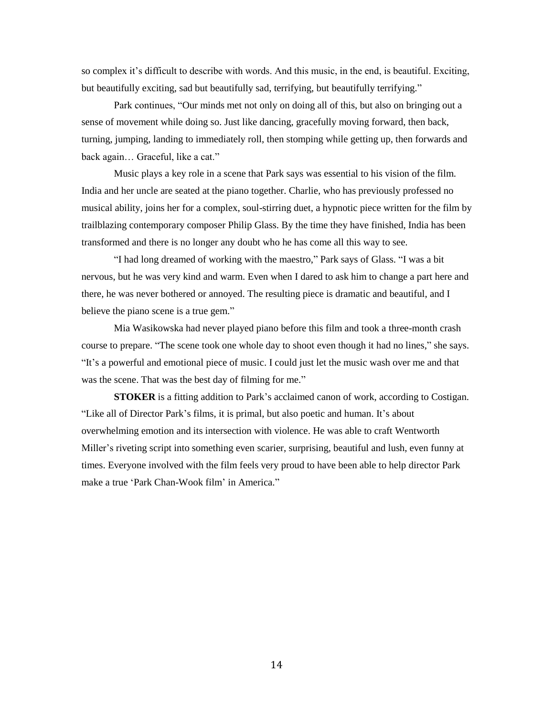so complex it's difficult to describe with words. And this music, in the end, is beautiful. Exciting, but beautifully exciting, sad but beautifully sad, terrifying, but beautifully terrifying."

Park continues, "Our minds met not only on doing all of this, but also on bringing out a sense of movement while doing so. Just like dancing, gracefully moving forward, then back, turning, jumping, landing to immediately roll, then stomping while getting up, then forwards and back again… Graceful, like a cat."

Music plays a key role in a scene that Park says was essential to his vision of the film. India and her uncle are seated at the piano together. Charlie, who has previously professed no musical ability, joins her for a complex, soul-stirring duet, a hypnotic piece written for the film by trailblazing contemporary composer Philip Glass. By the time they have finished, India has been transformed and there is no longer any doubt who he has come all this way to see.

"I had long dreamed of working with the maestro," Park says of Glass. "I was a bit nervous, but he was very kind and warm. Even when I dared to ask him to change a part here and there, he was never bothered or annoyed. The resulting piece is dramatic and beautiful, and I believe the piano scene is a true gem."

Mia Wasikowska had never played piano before this film and took a three-month crash course to prepare. "The scene took one whole day to shoot even though it had no lines," she says. "It's a powerful and emotional piece of music. I could just let the music wash over me and that was the scene. That was the best day of filming for me."

**STOKER** is a fitting addition to Park's acclaimed canon of work, according to Costigan. "Like all of Director Park's films, it is primal, but also poetic and human. It's about overwhelming emotion and its intersection with violence. He was able to craft Wentworth Miller's riveting script into something even scarier, surprising, beautiful and lush, even funny at times. Everyone involved with the film feels very proud to have been able to help director Park make a true 'Park Chan-Wook film' in America."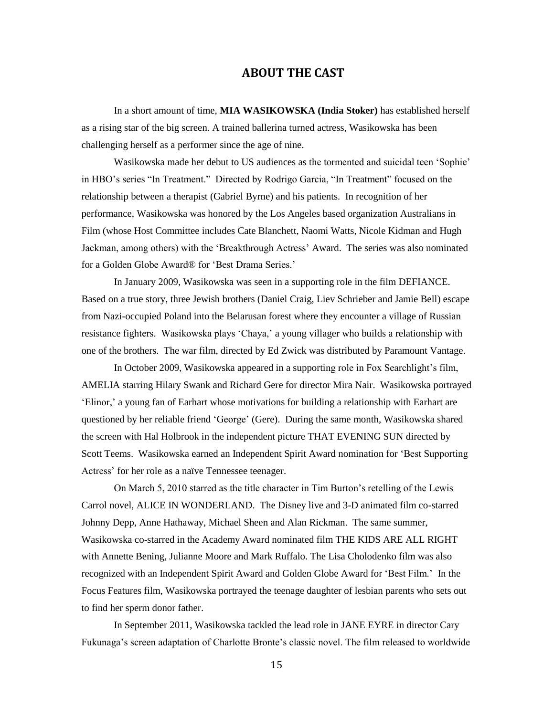## **ABOUT THE CAST**

In a short amount of time, **MIA WASIKOWSKA (India Stoker)** has established herself as a rising star of the big screen. A trained ballerina turned actress, Wasikowska has been challenging herself as a performer since the age of nine.

Wasikowska made her debut to US audiences as the tormented and suicidal teen 'Sophie' in HBO's series "In Treatment." Directed by Rodrigo Garcia, "In Treatment" focused on the relationship between a therapist (Gabriel Byrne) and his patients. In recognition of her performance, Wasikowska was honored by the Los Angeles based organization Australians in Film (whose Host Committee includes Cate Blanchett, Naomi Watts, Nicole Kidman and Hugh Jackman, among others) with the 'Breakthrough Actress' Award. The series was also nominated for a Golden Globe Award® for 'Best Drama Series.'

In January 2009, Wasikowska was seen in a supporting role in the film DEFIANCE. Based on a true story, three Jewish brothers (Daniel Craig, Liev Schrieber and Jamie Bell) escape from Nazi-occupied Poland into the Belarusan forest where they encounter a village of Russian resistance fighters. Wasikowska plays 'Chaya,' a young villager who builds a relationship with one of the brothers. The war film, directed by Ed Zwick was distributed by Paramount Vantage.

In October 2009, Wasikowska appeared in a supporting role in Fox Searchlight's film, AMELIA starring Hilary Swank and Richard Gere for director Mira Nair. Wasikowska portrayed 'Elinor,' a young fan of Earhart whose motivations for building a relationship with Earhart are questioned by her reliable friend 'George' (Gere). During the same month, Wasikowska shared the screen with Hal Holbrook in the independent picture THAT EVENING SUN directed by Scott Teems. Wasikowska earned an Independent Spirit Award nomination for 'Best Supporting Actress' for her role as a naïve Tennessee teenager.

On March 5, 2010 starred as the title character in Tim Burton's retelling of the Lewis Carrol novel, ALICE IN WONDERLAND. The Disney live and 3-D animated film co-starred Johnny Depp, Anne Hathaway, Michael Sheen and Alan Rickman. The same summer, Wasikowska co-starred in the Academy Award nominated film THE KIDS ARE ALL RIGHT with Annette Bening, Julianne Moore and Mark Ruffalo. The Lisa Cholodenko film was also recognized with an Independent Spirit Award and Golden Globe Award for 'Best Film.' In the Focus Features film, Wasikowska portrayed the teenage daughter of lesbian parents who sets out to find her sperm donor father.

In September 2011, Wasikowska tackled the lead role in JANE EYRE in director Cary Fukunaga's screen adaptation of Charlotte Bronte's classic novel. The film released to worldwide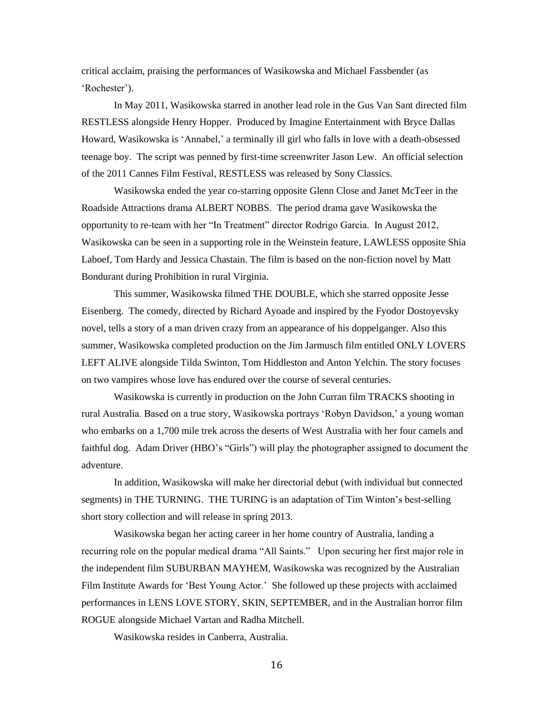critical acclaim, praising the performances of Wasikowska and Michael Fassbender (as 'Rochester').

In May 2011, Wasikowska starred in another lead role in the Gus Van Sant directed film RESTLESS alongside Henry Hopper. Produced by Imagine Entertainment with Bryce Dallas Howard, Wasikowska is 'Annabel,' a terminally ill girl who falls in love with a death-obsessed teenage boy. The script was penned by first-time screenwriter Jason Lew. An official selection of the 2011 Cannes Film Festival, RESTLESS was released by Sony Classics.

Wasikowska ended the year co-starring opposite Glenn Close and Janet McTeer in the Roadside Attractions drama ALBERT NOBBS. The period drama gave Wasikowska the opportunity to re-team with her "In Treatment" director Rodrigo Garcia. In August 2012, Wasikowska can be seen in a supporting role in the Weinstein feature, LAWLESS opposite Shia Laboef, Tom Hardy and Jessica Chastain. The film is based on the non-fiction novel by Matt Bondurant during Prohibition in rural Virginia.

This summer, Wasikowska filmed THE DOUBLE, which she starred opposite Jesse Eisenberg. The comedy, directed by Richard Ayoade and inspired by the Fyodor Dostoyevsky novel, tells a story of a man driven crazy from an appearance of his doppelganger. Also this summer, Wasikowska completed production on the Jim Jarmusch film entitled ONLY LOVERS LEFT ALIVE alongside Tilda Swinton, Tom Hiddleston and Anton Yelchin. The story focuses on two vampires whose love has endured over the course of several centuries.

Wasikowska is currently in production on the John Curran film TRACKS shooting in rural Australia. Based on a true story, Wasikowska portrays 'Robyn Davidson,' a young woman who embarks on a 1,700 mile trek across the deserts of West Australia with her four camels and faithful dog. Adam Driver (HBO's "Girls") will play the photographer assigned to document the adventure.

In addition, Wasikowska will make her directorial debut (with individual but connected segments) in THE TURNING. THE TURING is an adaptation of Tim Winton's best-selling short story collection and will release in spring 2013.

Wasikowska began her acting career in her home country of Australia, landing a recurring role on the popular medical drama "All Saints." Upon securing her first major role in the independent film SUBURBAN MAYHEM, Wasikowska was recognized by the Australian Film Institute Awards for 'Best Young Actor.' She followed up these projects with acclaimed performances in LENS LOVE STORY, SKIN, SEPTEMBER, and in the Australian horror film ROGUE alongside Michael Vartan and Radha Mitchell.

Wasikowska resides in Canberra, Australia.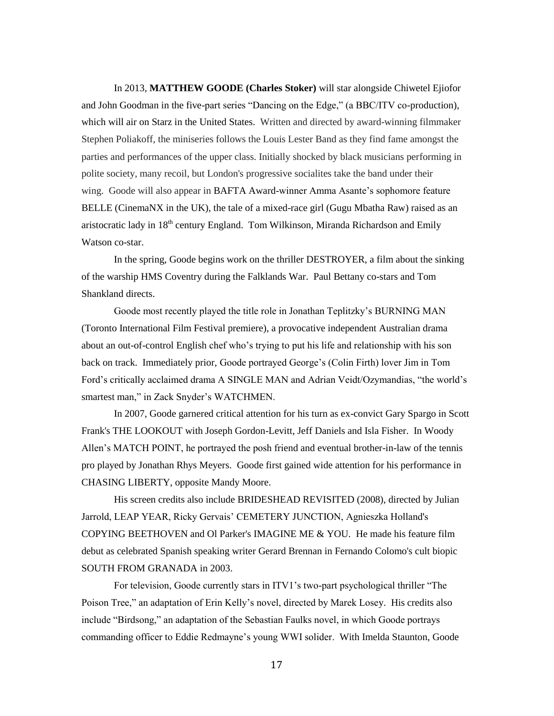In 2013, **MATTHEW GOODE (Charles Stoker)** will star alongside Chiwetel Ejiofor and John Goodman in the five-part series "Dancing on the Edge," (a BBC/ITV co-production), which will air on Starz in the United States. Written and directed by award-winning filmmaker Stephen Poliakoff, the miniseries follows the Louis Lester Band as they find fame amongst the parties and performances of the upper class. Initially shocked by black musicians performing in polite society, many recoil, but London's progressive socialites take the band under their wing. Goode will also appear in BAFTA Award-winner Amma Asante's sophomore feature BELLE (CinemaNX in the UK), the tale of a mixed-race girl (Gugu Mbatha Raw) raised as an aristocratic lady in 18<sup>th</sup> century England. Tom Wilkinson, Miranda Richardson and Emily Watson co-star.

In the spring, Goode begins work on the thriller DESTROYER, a film about the sinking of the warship HMS Coventry during the Falklands War. Paul Bettany co-stars and Tom Shankland directs.

Goode most recently played the title role in Jonathan Teplitzky's BURNING MAN (Toronto International Film Festival premiere), a provocative independent Australian drama about an out-of-control English chef who's trying to put his life and relationship with his son back on track. Immediately prior, Goode portrayed George's (Colin Firth) lover Jim in Tom Ford's critically acclaimed drama A SINGLE MAN and Adrian Veidt/Ozymandias, "the world's smartest man," in Zack Snyder's WATCHMEN.

In 2007, Goode garnered critical attention for his turn as ex-convict Gary Spargo in Scott Frank's THE LOOKOUT with Joseph Gordon-Levitt, Jeff Daniels and Isla Fisher. In Woody Allen's MATCH POINT, he portrayed the posh friend and eventual brother-in-law of the tennis pro played by Jonathan Rhys Meyers. Goode first gained wide attention for his performance in CHASING LIBERTY, opposite Mandy Moore.

His screen credits also include BRIDESHEAD REVISITED (2008), directed by Julian Jarrold, LEAP YEAR, Ricky Gervais' CEMETERY JUNCTION, Agnieszka Holland's COPYING BEETHOVEN and Ol Parker's IMAGINE ME & YOU. He made his feature film debut as celebrated Spanish speaking writer Gerard Brennan in Fernando Colomo's cult biopic SOUTH FROM GRANADA in 2003.

For television, Goode currently stars in ITV1's two-part psychological thriller "The Poison Tree," an adaptation of Erin Kelly's novel, directed by Marek Losey. His credits also include "Birdsong," an adaptation of the Sebastian Faulks novel, in which Goode portrays commanding officer to Eddie Redmayne's young WWI solider. With Imelda Staunton, Goode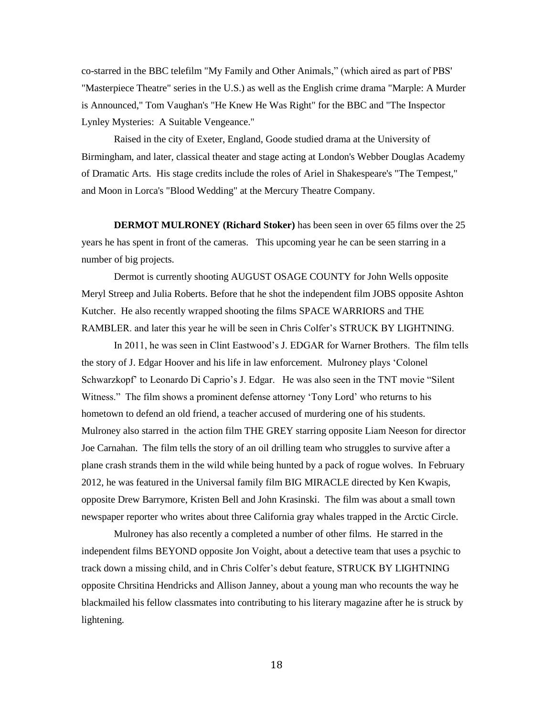co-starred in the BBC telefilm "My Family and Other Animals," (which aired as part of PBS' "Masterpiece Theatre" series in the U.S.) as well as the English crime drama "Marple: A Murder is Announced," Tom Vaughan's "He Knew He Was Right" for the BBC and "The Inspector Lynley Mysteries: A Suitable Vengeance."

Raised in the city of Exeter, England, Goode studied drama at the University of Birmingham, and later, classical theater and stage acting at London's Webber Douglas Academy of Dramatic Arts. His stage credits include the roles of Ariel in Shakespeare's "The Tempest," and Moon in Lorca's "Blood Wedding" at the Mercury Theatre Company.

**DERMOT MULRONEY (Richard Stoker)** has been seen in over 65 films over the 25 years he has spent in front of the cameras. This upcoming year he can be seen starring in a number of big projects.

Dermot is currently shooting AUGUST OSAGE COUNTY for John Wells opposite Meryl Streep and Julia Roberts. Before that he shot the independent film JOBS opposite Ashton Kutcher. He also recently wrapped shooting the films SPACE WARRIORS and THE RAMBLER. and later this year he will be seen in Chris Colfer's STRUCK BY LIGHTNING.

In 2011, he was seen in Clint Eastwood's J. EDGAR for Warner Brothers. The film tells the story of J. Edgar Hoover and his life in law enforcement*.* Mulroney plays 'Colonel Schwarzkopf' to Leonardo Di Caprio's J. Edgar. He was also seen in the TNT movie "Silent Witness." The film shows a prominent defense attorney 'Tony Lord' who returns to his hometown to defend an old friend, a teacher accused of murdering one of his students. Mulroney also starred in the action film THE GREY starring opposite Liam Neeson for director Joe Carnahan. The film tells the story of an oil drilling team who struggles to survive after a plane crash strands them in the wild while being hunted by a pack of rogue wolves. In February 2012, he was featured in the Universal family film BIG MIRACLE directed by Ken Kwapis, opposite Drew Barrymore, Kristen Bell and John Krasinski. The film was about a small town newspaper reporter who writes about three California gray whales trapped in the Arctic Circle.

Mulroney has also recently a completed a number of other films. He starred in the independent films BEYOND opposite Jon Voight, about a detective team that uses a psychic to track down a missing child, and in Chris Colfer's debut feature, STRUCK BY LIGHTNING opposite Chrsitina Hendricks and Allison Janney, about a young man who recounts the way he blackmailed his fellow classmates into contributing to his literary magazine after he is struck by lightening.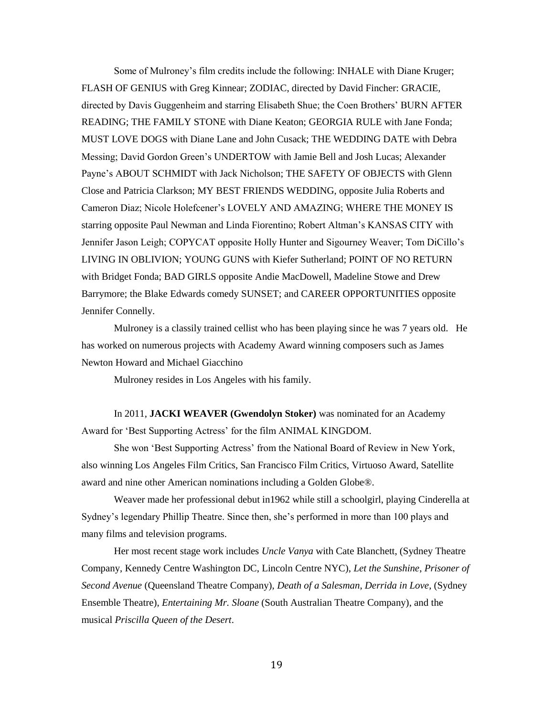Some of Mulroney's film credits include the following: INHALE with Diane Kruger; FLASH OF GENIUS with Greg Kinnear; ZODIAC, directed by David Fincher: GRACIE, directed by Davis Guggenheim and starring Elisabeth Shue; the Coen Brothers' BURN AFTER READING; THE FAMILY STONE with Diane Keaton; GEORGIA RULE with Jane Fonda; MUST LOVE DOGS with Diane Lane and John Cusack; THE WEDDING DATE with Debra Messing; David Gordon Green's UNDERTOW with Jamie Bell and Josh Lucas; Alexander Payne's ABOUT SCHMIDT with Jack Nicholson; THE SAFETY OF OBJECTS with Glenn Close and Patricia Clarkson; MY BEST FRIENDS WEDDING, opposite Julia Roberts and Cameron Diaz; Nicole Holefcener's LOVELY AND AMAZING; WHERE THE MONEY IS starring opposite Paul Newman and Linda Fiorentino; Robert Altman's KANSAS CITY with Jennifer Jason Leigh; COPYCAT opposite Holly Hunter and Sigourney Weaver; Tom DiCillo's LIVING IN OBLIVION; YOUNG GUNS with Kiefer Sutherland; POINT OF NO RETURN with Bridget Fonda; BAD GIRLS opposite Andie MacDowell, Madeline Stowe and Drew Barrymore; the Blake Edwards comedy SUNSET; and CAREER OPPORTUNITIES opposite Jennifer Connelly.

Mulroney is a classily trained cellist who has been playing since he was 7 years old. He has worked on numerous projects with Academy Award winning composers such as James Newton Howard and Michael Giacchino

Mulroney resides in Los Angeles with his family.

In 2011, **JACKI WEAVER (Gwendolyn Stoker)** was nominated for an Academy Award for 'Best Supporting Actress' for the film ANIMAL KINGDOM.

She won 'Best Supporting Actress' from the National Board of Review in New York, also winning Los Angeles Film Critics, San Francisco Film Critics, Virtuoso Award, Satellite award and nine other American nominations including a Golden Globe®.

Weaver made her professional debut in1962 while still a schoolgirl, playing Cinderella at Sydney's legendary Phillip Theatre. Since then, she's performed in more than 100 plays and many films and television programs.

Her most recent stage work includes *Uncle Vanya* with Cate Blanchett, (Sydney Theatre Company, Kennedy Centre Washington DC, Lincoln Centre NYC), *Let the Sunshine*, *Prisoner of Second Avenue* (Queensland Theatre Company), *Death of a Salesman*, *Derrida in Love*, (Sydney Ensemble Theatre), *Entertaining Mr. Sloane* (South Australian Theatre Company), and the musical *Priscilla Queen of the Desert*.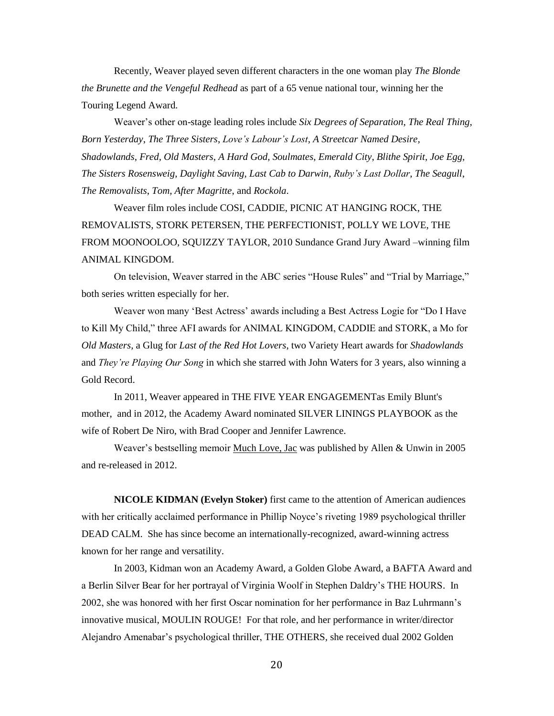Recently, Weaver played seven different characters in the one woman play *The Blonde the Brunette and the Vengeful Redhead* as part of a 65 venue national tour, winning her the Touring Legend Award.

Weaver's other on-stage leading roles include *Six Degrees of Separation*, *The Real Thing*, *Born Yesterday*, *The Three Sisters*, *Love's Labour's Lost*, *A Streetcar Named Desire, Shadowlands*, *Fred*, *Old Masters*, *A Hard God*, *Soulmates*, *Emerald City*, *Blithe Spirit*, *Joe Egg*, *The Sisters Rosensweig*, *Daylight Saving*, *Last Cab to Darwin*, *Ruby's Last Dollar*, *The Seagull*, *The Removalists*, *Tom*, *After Magritte*, and *Rockola*.

Weaver film roles include COSI, CADDIE, PICNIC AT HANGING ROCK, THE REMOVALISTS, STORK PETERSEN, THE PERFECTIONIST, POLLY WE LOVE, THE FROM MOONOOLOO, SQUIZZY TAYLOR, 2010 Sundance Grand Jury Award –winning film ANIMAL KINGDOM.

On television, Weaver starred in the ABC series "House Rules" and "Trial by Marriage," both series written especially for her.

Weaver won many 'Best Actress' awards including a Best Actress Logie for "Do I Have to Kill My Child," three AFI awards for ANIMAL KINGDOM, CADDIE and STORK, a Mo for *Old Masters*, a Glug for *Last of the Red Hot Lovers*, two Variety Heart awards for *Shadowlands* and *They're Playing Our Song* in which she starred with John Waters for 3 years, also winning a Gold Record.

In 2011, Weaver appeared in THE FIVE YEAR ENGAGEMENTas Emily Blunt's mother, and in 2012, the Academy Award nominated SILVER LININGS PLAYBOOK as the wife of Robert De Niro, with Brad Cooper and Jennifer Lawrence.

Weaver's bestselling memoir Much Love, Jac was published by Allen & Unwin in 2005 and re-released in 2012.

**NICOLE KIDMAN (Evelyn Stoker)** first came to the attention of American audiences with her critically acclaimed performance in Phillip Noyce's riveting 1989 psychological thriller DEAD CALM. She has since become an internationally-recognized, award-winning actress known for her range and versatility.

In 2003, Kidman won an Academy Award, a Golden Globe Award, a BAFTA Award and a Berlin Silver Bear for her portrayal of Virginia Woolf in Stephen Daldry's THE HOURS. In 2002, she was honored with her first Oscar nomination for her performance in Baz Luhrmann's innovative musical, MOULIN ROUGE! For that role, and her performance in writer/director Alejandro Amenabar's psychological thriller, THE OTHERS*,* she received dual 2002 Golden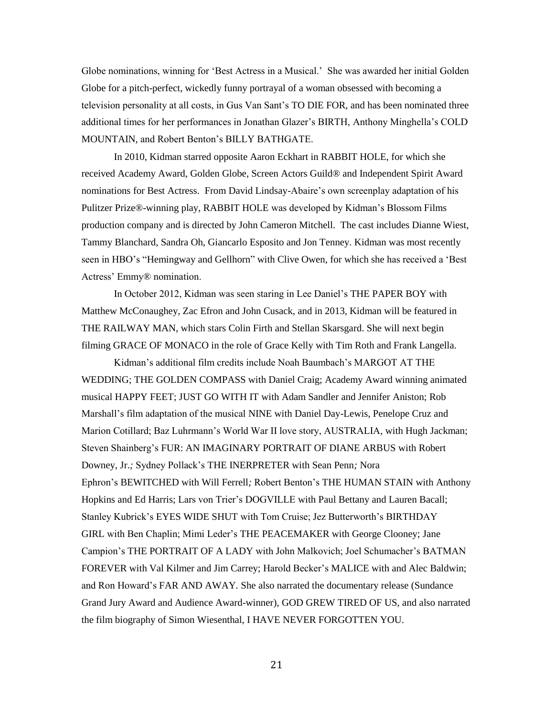Globe nominations, winning for 'Best Actress in a Musical.' She was awarded her initial Golden Globe for a pitch-perfect, wickedly funny portrayal of a woman obsessed with becoming a television personality at all costs, in Gus Van Sant's TO DIE FOR, and has been nominated three additional times for her performances in Jonathan Glazer's BIRTH, Anthony Minghella's COLD MOUNTAIN, and Robert Benton's BILLY BATHGATE.

In 2010, Kidman starred opposite Aaron Eckhart in RABBIT HOLE, for which she received Academy Award, Golden Globe, Screen Actors Guild® and Independent Spirit Award nominations for Best Actress. From David Lindsay-Abaire's own screenplay adaptation of his Pulitzer Prize®-winning play, RABBIT HOLE was developed by Kidman's Blossom Films production company and is directed by John Cameron Mitchell. The cast includes Dianne Wiest, Tammy Blanchard, Sandra Oh, Giancarlo Esposito and Jon Tenney. Kidman was most recently seen in HBO's "Hemingway and Gellhorn" with Clive Owen, for which she has received a 'Best Actress' Emmy® nomination.

In October 2012, Kidman was seen staring in Lee Daniel's THE PAPER BOY with Matthew McConaughey, Zac Efron and John Cusack, and in 2013, Kidman will be featured in THE RAILWAY MAN, which stars Colin Firth and Stellan Skarsgard. She will next begin filming GRACE OF MONACO in the role of Grace Kelly with Tim Roth and Frank Langella*.*

Kidman's additional film credits include Noah Baumbach's MARGOT AT THE WEDDING; THE GOLDEN COMPASS with Daniel Craig; Academy Award winning animated musical HAPPY FEET; JUST GO WITH IT with Adam Sandler and Jennifer Aniston; Rob Marshall's film adaptation of the musical NINE with Daniel Day-Lewis, Penelope Cruz and Marion Cotillard; Baz Luhrmann's World War II love story, AUSTRALIA*,* with Hugh Jackman; Steven Shainberg's FUR: AN IMAGINARY PORTRAIT OF DIANE ARBUS with Robert Downey, Jr.*;* Sydney Pollack's THE INERPRETER with Sean Penn*;* Nora Ephron's BEWITCHED with Will Ferrell*;* Robert Benton's THE HUMAN STAIN with Anthony Hopkins and Ed Harris; Lars von Trier's DOGVILLE with Paul Bettany and Lauren Bacall; Stanley Kubrick's EYES WIDE SHUT with Tom Cruise; Jez Butterworth's BIRTHDAY GIRL with Ben Chaplin; Mimi Leder's THE PEACEMAKER with George Clooney; Jane Campion's THE PORTRAIT OF A LADY with John Malkovich; Joel Schumacher's BATMAN FOREVER with Val Kilmer and Jim Carrey; Harold Becker's MALICE with and Alec Baldwin; and Ron Howard's FAR AND AWAY*.* She also narrated the documentary release (Sundance Grand Jury Award and Audience Award-winner), GOD GREW TIRED OF US, and also narrated the film biography of Simon Wiesenthal, I HAVE NEVER FORGOTTEN YOU*.*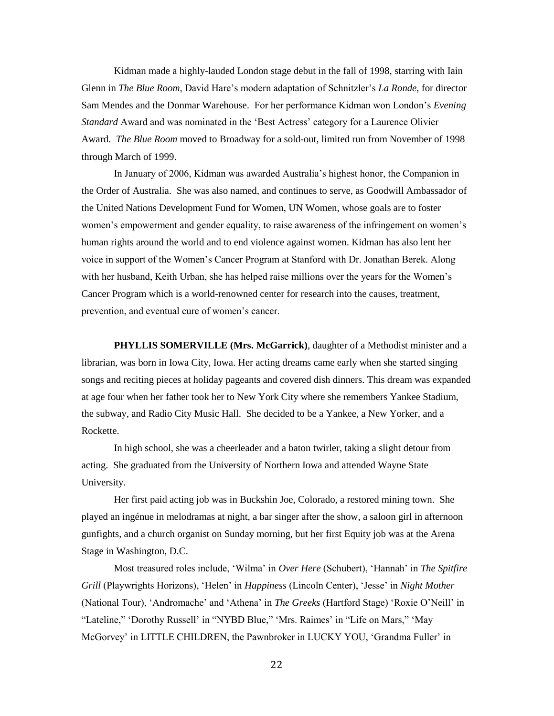Kidman made a highly-lauded London stage debut in the fall of 1998, starring with Iain Glenn in *The Blue Room*, David Hare's modern adaptation of Schnitzler's *La Ronde*, for director Sam Mendes and the Donmar Warehouse. For her performance Kidman won London's *Evening Standard* Award and was nominated in the 'Best Actress' category for a Laurence Olivier Award. *The Blue Room* moved to Broadway for a sold-out, limited run from November of 1998 through March of 1999.

In January of 2006, Kidman was awarded Australia's highest honor, the Companion in the Order of Australia. She was also named, and continues to serve, as Goodwill Ambassador of the United Nations Development Fund for Women, UN Women, whose goals are to foster women's empowerment and gender equality, to raise awareness of the infringement on women's human rights around the world and to end violence against women. Kidman has also lent her voice in support of the Women's Cancer Program at Stanford with Dr. Jonathan Berek. Along with her husband, Keith Urban, she has helped raise millions over the years for the Women's Cancer Program which is a world-renowned center for research into the causes, treatment, prevention, and eventual cure of women's cancer.

**PHYLLIS SOMERVILLE (Mrs. McGarrick)**, daughter of a Methodist minister and a librarian, was born in Iowa City, Iowa. Her acting dreams came early when she started singing songs and reciting pieces at holiday pageants and covered dish dinners. This dream was expanded at age four when her father took her to New York City where she remembers Yankee Stadium, the subway, and Radio City Music Hall. She decided to be a Yankee, a New Yorker, and a Rockette.

In high school, she was a cheerleader and a baton twirler, taking a slight detour from acting. She graduated from the University of Northern Iowa and attended Wayne State University.

Her first paid acting job was in Buckshin Joe, Colorado, a restored mining town. She played an ingénue in melodramas at night, a bar singer after the show, a saloon girl in afternoon gunfights, and a church organist on Sunday morning, but her first Equity job was at the Arena Stage in Washington, D.C.

Most treasured roles include, 'Wilma' in *Over Here* (Schubert), 'Hannah' in *The Spitfire Grill* (Playwrights Horizons), 'Helen' in *Happiness* (Lincoln Center), 'Jesse' in *Night Mother* (National Tour), 'Andromache' and 'Athena' in *The Greeks* (Hartford Stage) 'Roxie O'Neill' in "Lateline," 'Dorothy Russell' in "NYBD Blue," 'Mrs. Raimes' in "Life on Mars," 'May McGorvey' in LITTLE CHILDREN, the Pawnbroker in LUCKY YOU, 'Grandma Fuller' in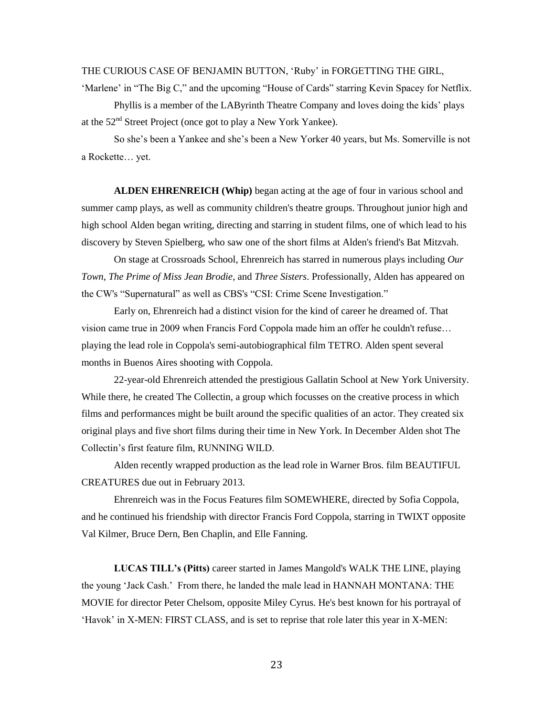#### THE CURIOUS CASE OF BENJAMIN BUTTON, 'Ruby' in FORGETTING THE GIRL,

'Marlene' in "The Big C," and the upcoming "House of Cards" starring Kevin Spacey for Netflix. Phyllis is a member of the LAByrinth Theatre Company and loves doing the kids' plays at the 52nd Street Project (once got to play a New York Yankee).

So she's been a Yankee and she's been a New Yorker 40 years, but Ms. Somerville is not a Rockette… yet.

**ALDEN EHRENREICH (Whip)** began acting at the age of four in various school and summer camp plays, as well as community children's theatre groups. Throughout junior high and high school Alden began writing, directing and starring in student films, one of which lead to his discovery by Steven Spielberg, who saw one of the short films at Alden's friend's Bat Mitzvah.

On stage at Crossroads School, Ehrenreich has starred in numerous plays including *Our Town*, *The Prime of Miss Jean Brodie*, and *Three Sisters*. Professionally, Alden has appeared on the CW's "Supernatural" as well as CBS's "CSI: Crime Scene Investigation."

Early on, Ehrenreich had a distinct vision for the kind of career he dreamed of. That vision came true in 2009 when Francis Ford Coppola made him an offer he couldn't refuse… playing the lead role in Coppola's semi-autobiographical film TETRO. Alden spent several months in Buenos Aires shooting with Coppola.

22-year-old Ehrenreich attended the prestigious Gallatin School at New York University. While there, he created The Collectin, a group which focusses on the creative process in which films and performances might be built around the specific qualities of an actor. They created six original plays and five short films during their time in New York. In December Alden shot The Collectin's first feature film, RUNNING WILD.

Alden recently wrapped production as the lead role in Warner Bros. film BEAUTIFUL CREATURES due out in February 2013.

Ehrenreich was in the Focus Features film SOMEWHERE, directed by Sofia Coppola, and he continued his friendship with director Francis Ford Coppola, starring in TWIXT opposite Val Kilmer, Bruce Dern, Ben Chaplin, and Elle Fanning.

**LUCAS TILL's (Pitts)** career started in James Mangold's WALK THE LINE, playing the young 'Jack Cash.' From there, he landed the male lead in HANNAH MONTANA: THE MOVIE for director Peter Chelsom, opposite Miley Cyrus. He's best known for his portrayal of 'Havok' in X-MEN: FIRST CLASS, and is set to reprise that role later this year in X-MEN: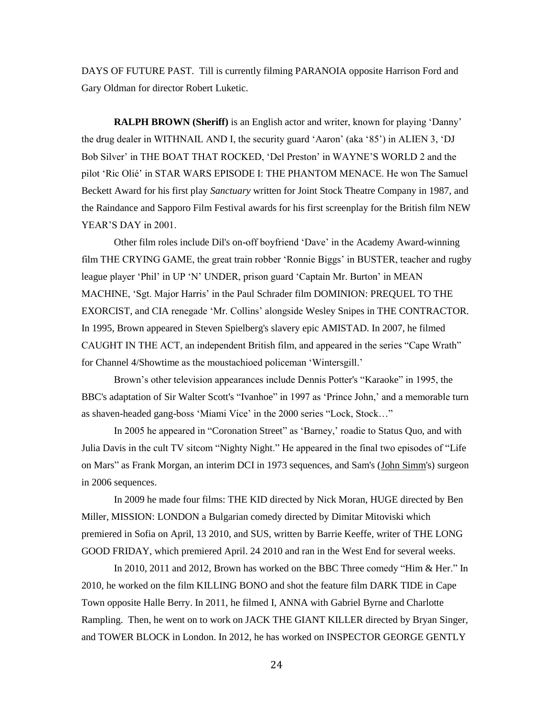DAYS OF FUTURE PAST. Till is currently filming PARANOIA opposite Harrison Ford and Gary Oldman for director Robert Luketic.

**RALPH BROWN (Sheriff)** is an [English](http://en.wikipedia.org/wiki/English_people) [actor](http://en.wikipedia.org/wiki/Actor) and writer, known for playing 'Danny' the drug dealer in WITHNAIL AND I, the security guard 'Aaron' (aka '85') in ALIEN 3, 'DJ Bob Silver' in THE BOAT THAT ROCKED, 'Del Preston' in WAYNE'S WORLD 2 and the pilot 'Ric Olié' in STAR WARS EPISODE I: THE PHANTOM MENACE. He won The Samuel Beckett Award for his first play *Sanctuary* written for Joint Stock Theatre Company in 1987, and the Raindance and Sapporo Film Festival awards for his first screenplay for the British film NEW YEAR'S DAY in 2001.

Other film roles include Dil's on-off boyfriend 'Dave' in th[e Academy Award-](http://en.wikipedia.org/wiki/Academy_Award)winning film THE CRYING GAME, the great train robber 'Ronnie Biggs' in BUSTER, teacher and [rugby](http://en.wikipedia.org/wiki/Rugby_league)  [league](http://en.wikipedia.org/wiki/Rugby_league) player 'Phil' in UP 'N' UNDER, prison guard 'Captain Mr. Burton' in MEAN MACHINE, 'Sgt. Major Harris' in the [Paul Schrader](http://en.wikipedia.org/wiki/Paul_Schrader) film DOMINION: PREQUEL TO THE EXORCIST, and [CIA](http://en.wikipedia.org/wiki/CIA) renegade 'Mr. Collins' alongside [Wesley Snipes](http://en.wikipedia.org/wiki/Wesley_Snipes) in THE CONTRACTOR. In 1995, Brown appeared in [Steven Spielberg's](http://en.wikipedia.org/wiki/Steven_Spielberg) [slavery](http://en.wikipedia.org/wiki/Slavery) epic AMISTAD. In 2007, he filmed CAUGHT IN THE ACT, an independent British film, and appeared in the series "Cape Wrath" for [Channel 4](http://en.wikipedia.org/wiki/Channel_4)[/Showtime](http://en.wikipedia.org/wiki/Showtime_(TV_network)) as the moustachioed policeman 'Wintersgill.'

Brown's other television appearances include Dennis Potter's ["Karaoke"](http://en.wikipedia.org/wiki/Karaoke) in 1995, the BBC's adaptation of [Sir Walter Scott's](http://en.wikipedia.org/wiki/Sir_Walter_Scott) ["Ivanhoe"](http://en.wikipedia.org/wiki/Ivanhoe_(1997_TV_series)) in 1997 as 'Prince John,' and a memorable turn as shaven-headed gang-boss 'Miami Vice' in the 2000 series "Lock, Stock…"

In 2005 he appeared in ["Coronation Street"](http://en.wikipedia.org/wiki/Coronation_Street) as 'Barney,' roadie to [Status Quo,](http://en.wikipedia.org/wiki/Status_Quo_(band)) and with [Julia Davis](http://en.wikipedia.org/wiki/Julia_Davis) in the cult TV sitcom ["Nighty Night.](http://en.wikipedia.org/wiki/Nighty_Night)" He appeared in the final two episodes of ["Life](http://en.wikipedia.org/wiki/Life_on_Mars_(TV_series))  [on Mars"](http://en.wikipedia.org/wiki/Life_on_Mars_(TV_series)) as Frank Morgan, an interim DCI in 1973 sequences, and Sam's [\(John Simm's](http://en.wikipedia.org/wiki/John_Simm)) surgeon in 2006 sequences.

In 2009 he made four films: THE KID directed by [Nick Moran,](http://en.wikipedia.org/wiki/Nick_Moran) HUGE directed by [Ben](http://en.wikipedia.org/wiki/Ben_Miller)  [Miller,](http://en.wikipedia.org/wiki/Ben_Miller) MISSION: LONDON a [Bulgarian](http://en.wikipedia.org/wiki/Bulgaria) comedy directed by Dimitar Mitoviski which premiered i[n Sofia](http://en.wikipedia.org/wiki/Sofia) on April, 13 2010, and SUS, written by [Barrie Keeffe,](http://en.wikipedia.org/wiki/Barrie_Keeffe) writer of THE LONG GOOD FRIDAY, which premiered April. 24 2010 and ran in the West End for several weeks.

In 2010, 2011 and 2012, Brown has worked on the [BBC Three](http://en.wikipedia.org/wiki/BBC_Three) comedy ["Him & Her.](http://en.wikipedia.org/wiki/Him_%26_Her_(TV_series))" In 2010, he worked on the film [KILLING](http://en.wikipedia.org/wiki/Killing_Bono) BONO and shot the feature film DARK TIDE in [Cape](http://en.wikipedia.org/wiki/Cape_Town)  [Town](http://en.wikipedia.org/wiki/Cape_Town) opposite [Halle Berry.](http://en.wikipedia.org/wiki/Halle_Berry) In 2011, he filmed I, ANNA with [Gabriel Byrne](http://en.wikipedia.org/wiki/Gabriel_Byrne) and [Charlotte](http://en.wikipedia.org/wiki/Charlotte_Rampling)  [Rampling.](http://en.wikipedia.org/wiki/Charlotte_Rampling) Then, he went on to work on JACK THE GIANT KILLER directed by [Bryan Singer,](http://en.wikipedia.org/wiki/Bryan_Singer) and TOWER BLOCK in London. In 2012, he has worked on INSPECTOR GEORGE GENTLY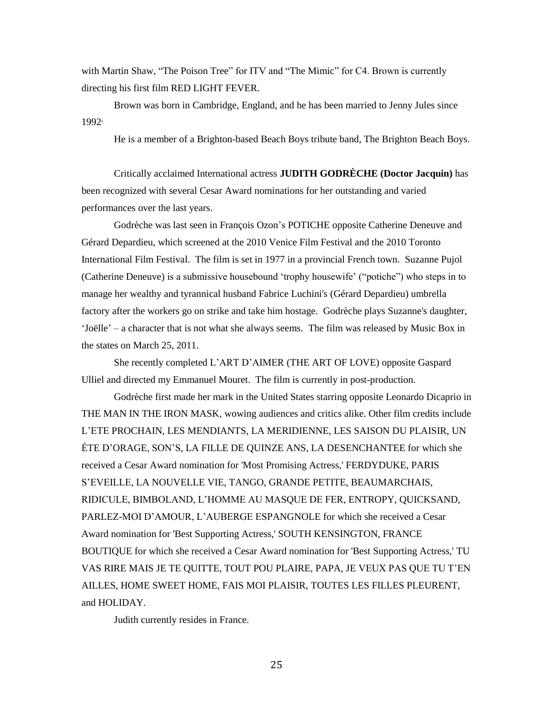with [Martin Shaw,](http://en.wikipedia.org/wiki/Martin_Shaw) "The Poison Tree" for ITV and "The Mimic" for C4. Brown is currently directing his first film RED LIGHT FEVER.

Brown was born in [Cambridge,](http://en.wikipedia.org/wiki/Cambridge) England, and he has been married to [Jenny Jules](http://en.wikipedia.org/wiki/Jenny_Jules) since 1992.

He is a member of [a Brighton-](http://en.wikipedia.org/wiki/Brighton)based [Beach Boys](http://en.wikipedia.org/wiki/The_Beach_Boys) [tribute band,](http://en.wikipedia.org/wiki/Tribute_band) The Brighton Beach Boys.

Critically acclaimed International actress **JUDITH GODRÈCHE (Doctor Jacquin)** has been recognized with several Cesar Award nominations for her outstanding and varied performances over the last years.

Godrèche was last seen in François Ozon's POTICHE opposite Catherine Deneuve and Gérard Depardieu, which screened at the 2010 Venice Film Festival and the 2010 Toronto International Film Festival. The film is set in 1977 in a provincial French town. Suzanne Pujol (Catherine Deneuve) is a submissive housebound 'trophy housewife' ("potiche") who steps in to manage her wealthy and tyrannical husband Fabrice Luchini's (Gérard Depardieu) umbrella factory after the workers go on strike and take him hostage. Godrèche plays Suzanne's daughter, 'Joëlle' – a character that is not what she always seems. The film was released by Music Box in the states on March 25, 2011.

She recently completed L'ART D'AIMER (THE ART OF LOVE) opposite Gaspard Ulliel and directed my Emmanuel Mouret. The film is currently in post-production.

Godrèche first made her mark in the United States starring opposite Leonardo Dicaprio in THE MAN IN THE IRON MASK, wowing audiences and critics alike. Other film credits include L'ETE PROCHAIN, LES MENDIANTS, LA MERIDIENNE, LES SAISON DU PLAISIR, UN ÉTE D'ORAGE, SON'S, LA FILLE DE QUINZE ANS, LA DESENCHANTEE for which she received a Cesar Award nomination for 'Most Promising Actress,' FERDYDUKE, PARIS S'EVEILLE, LA NOUVELLE VIE, TANGO, GRANDE PETITE, BEAUMARCHAIS, RIDICULE, BIMBOLAND, L'HOMME AU MASQUE DE FER, ENTROPY, QUICKSAND, PARLEZ-MOI D'AMOUR, L'AUBERGE ESPANGNOLE for which she received a Cesar Award nomination for 'Best Supporting Actress,' SOUTH KENSINGTON, FRANCE BOUTIQUE for which she received a Cesar Award nomination for 'Best Supporting Actress,' TU VAS RIRE MAIS JE TE QUITTE, TOUT POU PLAIRE, PAPA, JE VEUX PAS QUE TU T'EN AILLES, HOME SWEET HOME, FAIS MOI PLAISIR, TOUTES LES FILLES PLEURENT, and HOLIDAY.

Judith currently resides in France.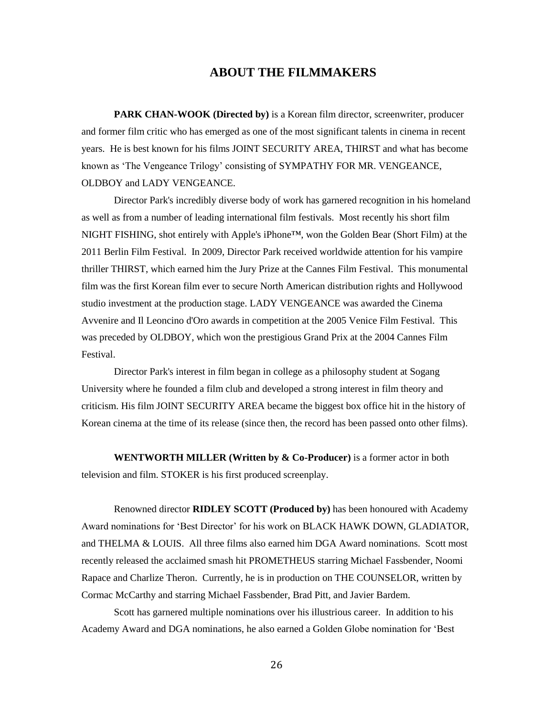# **ABOUT THE FILMMAKERS**

**PARK CHAN-WOOK (Directed by)** is a Korean film director, screenwriter, producer and former film critic who has emerged as one of the most significant talents in cinema in recent years. He is best known for his films JOINT SECURITY AREA, THIRST and what has become known as 'The Vengeance Trilogy' consisting of SYMPATHY FOR MR. VENGEANCE, OLDBOY and LADY VENGEANCE.

Director Park's incredibly diverse body of work has garnered recognition in his homeland as well as from a number of leading international film festivals. Most recently his short film NIGHT FISHING, shot entirely with Apple's iPhone™, won the Golden Bear (Short Film) at the 2011 Berlin Film Festival. In 2009, Director Park received worldwide attention for his vampire thriller THIRST, which earned him the Jury Prize at the Cannes Film Festival. This monumental film was the first Korean film ever to secure North American distribution rights and Hollywood studio investment at the production stage. LADY VENGEANCE was awarded the Cinema Avvenire and Il Leoncino d'Oro awards in competition at the 2005 Venice Film Festival. This was preceded by OLDBOY, which won the prestigious Grand Prix at the 2004 Cannes Film Festival.

Director Park's interest in film began in college as a philosophy student at Sogang University where he founded a film club and developed a strong interest in film theory and criticism. His film JOINT SECURITY AREA became the biggest box office hit in the history of Korean cinema at the time of its release (since then, the record has been passed onto other films).

**WENTWORTH MILLER (Written by & Co-Producer)** is a former actor in both television and film. STOKER is his first produced screenplay.

Renowned director **RIDLEY SCOTT (Produced by)** has been honoured with Academy Award nominations for 'Best Director' for his work on BLACK HAWK DOWN, GLADIATOR, and THELMA & LOUIS. All three films also earned him DGA Award nominations. Scott most recently released the acclaimed smash hit PROMETHEUS starring Michael Fassbender, Noomi Rapace and Charlize Theron. Currently, he is in production on THE COUNSELOR, written by Cormac McCarthy and starring Michael Fassbender, Brad Pitt, and Javier Bardem.

Scott has garnered multiple nominations over his illustrious career. In addition to his Academy Award and DGA nominations, he also earned a Golden Globe nomination for 'Best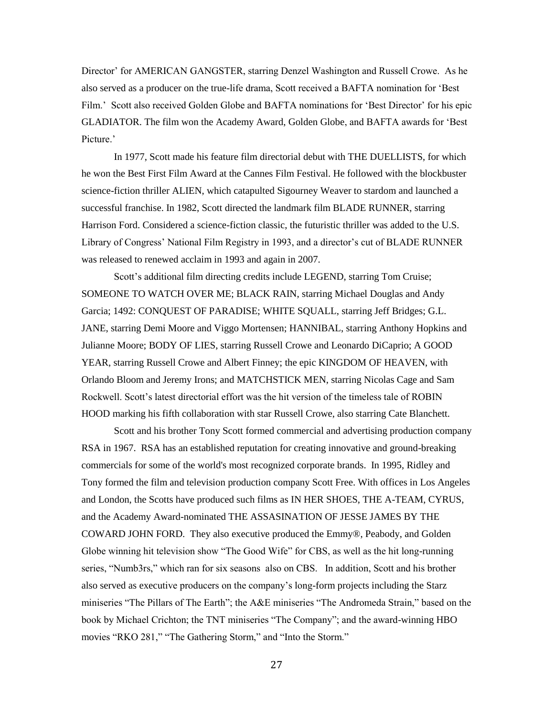Director' for AMERICAN GANGSTER, starring Denzel Washington and Russell Crowe. As he also served as a producer on the true-life drama, Scott received a BAFTA nomination for 'Best Film.' Scott also received Golden Globe and BAFTA nominations for 'Best Director' for his epic GLADIATOR. The film won the Academy Award, Golden Globe, and BAFTA awards for 'Best Picture.'

In 1977, Scott made his feature film directorial debut with THE DUELLISTS, for which he won the Best First Film Award at the Cannes Film Festival. He followed with the blockbuster science-fiction thriller ALIEN, which catapulted Sigourney Weaver to stardom and launched a successful franchise. In 1982, Scott directed the landmark film BLADE RUNNER, starring Harrison Ford. Considered a science-fiction classic, the futuristic thriller was added to the U.S. Library of Congress' National Film Registry in 1993, and a director's cut of BLADE RUNNER was released to renewed acclaim in 1993 and again in 2007.

Scott's additional film directing credits include LEGEND, starring Tom Cruise; SOMEONE TO WATCH OVER ME; BLACK RAIN, starring Michael Douglas and Andy Garcia; 1492: CONQUEST OF PARADISE; WHITE SQUALL, starring Jeff Bridges; G.L. JANE, starring Demi Moore and Viggo Mortensen; HANNIBAL, starring Anthony Hopkins and Julianne Moore; BODY OF LIES, starring Russell Crowe and Leonardo DiCaprio; A GOOD YEAR, starring Russell Crowe and Albert Finney; the epic KINGDOM OF HEAVEN, with Orlando Bloom and Jeremy Irons; and MATCHSTICK MEN, starring Nicolas Cage and Sam Rockwell. Scott's latest directorial effort was the hit version of the timeless tale of ROBIN HOOD marking his fifth collaboration with star Russell Crowe, also starring Cate Blanchett.

Scott and his brother Tony Scott formed commercial and advertising production company RSA in 1967. RSA has an established reputation for creating innovative and ground-breaking commercials for some of the world's most recognized corporate brands. In 1995, Ridley and Tony formed the film and television production company Scott Free. With offices in Los Angeles and London, the Scotts have produced such films as IN HER SHOES, THE A-TEAM, CYRUS, and the Academy Award-nominated THE ASSASINATION OF JESSE JAMES BY THE COWARD JOHN FORD. They also executive produced the Emmy®, Peabody, and Golden Globe winning hit television show "The Good Wife" for CBS, as well as the hit long-running series, "Numb3rs," which ran for six seasons also on CBS. In addition, Scott and his brother also served as executive producers on the company's long-form projects including the Starz miniseries "The Pillars of The Earth"; the A&E miniseries "The Andromeda Strain," based on the book by Michael Crichton; the TNT miniseries "The Company"; and the award-winning HBO movies "RKO 281," "The Gathering Storm," and "Into the Storm."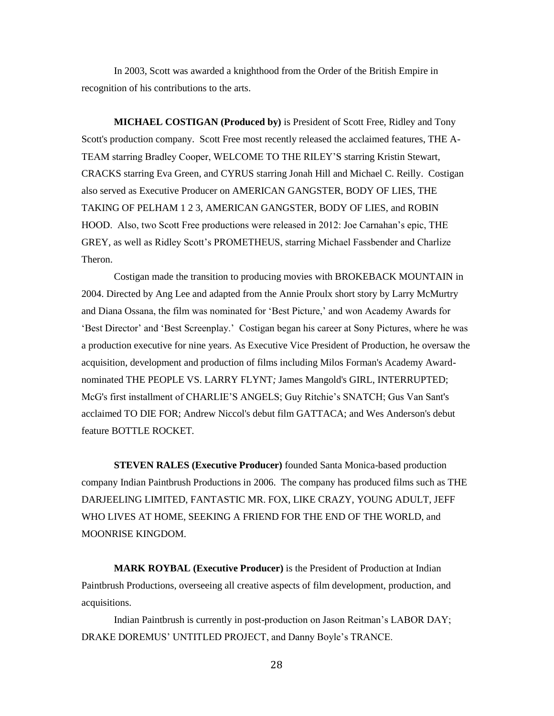In 2003, Scott was awarded a knighthood from the Order of the British Empire in recognition of his contributions to the arts.

**MICHAEL COSTIGAN (Produced by)** is President of Scott Free, Ridley and Tony Scott's production company. Scott Free most recently released the acclaimed features, THE A-TEAM starring Bradley Cooper, WELCOME TO THE RILEY'S starring Kristin Stewart, CRACKS starring Eva Green, and CYRUS starring Jonah Hill and Michael C. Reilly. Costigan also served as Executive Producer on AMERICAN GANGSTER, BODY OF LIES, THE TAKING OF PELHAM 1 2 3, AMERICAN GANGSTER, BODY OF LIES, and ROBIN HOOD. Also, two Scott Free productions were released in 2012: Joe Carnahan's epic, THE GREY, as well as Ridley Scott's PROMETHEUS, starring Michael Fassbender and Charlize Theron.

Costigan made the transition to producing movies with BROKEBACK MOUNTAIN in 2004. Directed by Ang Lee and adapted from the Annie Proulx short story by Larry McMurtry and Diana Ossana, the film was nominated for 'Best Picture,' and won Academy Awards for 'Best Director' and 'Best Screenplay.' Costigan began his career at Sony Pictures, where he was a production executive for nine years. As Executive Vice President of Production, he oversaw the acquisition, development and production of films including Milos Forman's Academy Awardnominated THE PEOPLE VS. LARRY FLYNT*;* James Mangold's GIRL, INTERRUPTED; McG's first installment of CHARLIE'S ANGELS; Guy Ritchie's SNATCH; Gus Van Sant's acclaimed TO DIE FOR; Andrew Niccol's debut film GATTACA; and Wes Anderson's debut feature BOTTLE ROCKET*.*

**STEVEN RALES (Executive Producer)** founded Santa Monica-based production company Indian Paintbrush Productions in 2006. The company has produced films such as THE DARJEELING LIMITED, FANTASTIC MR. FOX, LIKE CRAZY, YOUNG ADULT, JEFF WHO LIVES AT HOME, SEEKING A FRIEND FOR THE END OF THE WORLD, and MOONRISE KINGDOM.

**MARK ROYBAL (Executive Producer)** is the President of Production at Indian Paintbrush Productions, overseeing all creative aspects of film development, production, and acquisitions.

Indian Paintbrush is currently in post-production on Jason Reitman's LABOR DAY; DRAKE DOREMUS' UNTITLED PROJECT, and Danny Boyle's TRANCE.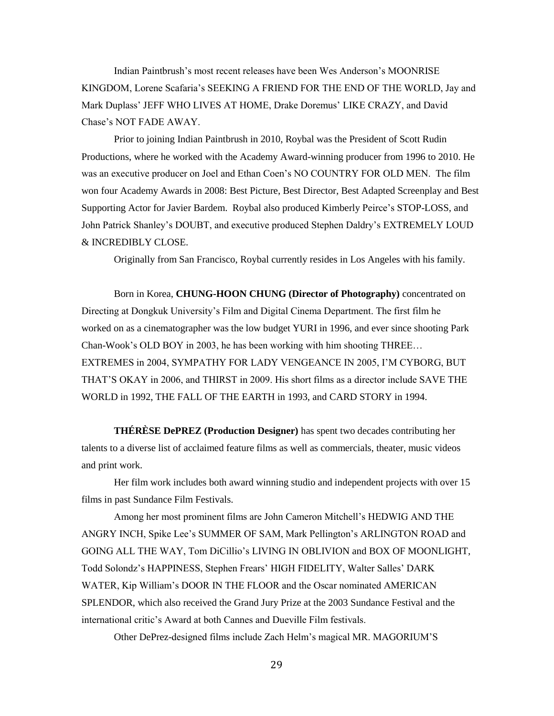Indian Paintbrush's most recent releases have been Wes Anderson's MOONRISE KINGDOM, Lorene Scafaria's SEEKING A FRIEND FOR THE END OF THE WORLD, Jay and Mark Duplass' JEFF WHO LIVES AT HOME, Drake Doremus' LIKE CRAZY, and David Chase's NOT FADE AWAY.

Prior to joining Indian Paintbrush in 2010, Roybal was the President of Scott Rudin Productions, where he worked with the Academy Award-winning producer from 1996 to 2010. He was an executive producer on Joel and Ethan Coen's NO COUNTRY FOR OLD MEN. The film won four Academy Awards in 2008: Best Picture, Best Director, Best Adapted Screenplay and Best Supporting Actor for Javier Bardem. Roybal also produced Kimberly Peirce's STOP-LOSS, and John Patrick Shanley's DOUBT, and executive produced Stephen Daldry's EXTREMELY LOUD & INCREDIBLY CLOSE.

Originally from San Francisco, Roybal currently resides in Los Angeles with his family.

Born in Korea, **CHUNG-HOON CHUNG (Director of Photography)** concentrated on Directing at Dongkuk University's Film and Digital Cinema Department. The first film he worked on as a cinematographer was the low budget YURI in 1996, and ever since shooting Park Chan-Wook's OLD BOY in 2003, he has been working with him shooting THREE… EXTREMES in 2004, SYMPATHY FOR LADY VENGEANCE IN 2005, I'M CYBORG, BUT THAT'S OKAY in 2006, and THIRST in 2009. His short films as a director include SAVE THE WORLD in 1992, THE FALL OF THE EARTH in 1993, and CARD STORY in 1994.

**THÉRÈSE DePREZ (Production Designer)** has spent two decades contributing her talents to a diverse list of acclaimed feature films as well as commercials, theater, music videos and print work.

Her film work includes both award winning studio and independent projects with over 15 films in past Sundance Film Festivals.

Among her most prominent films are John Cameron Mitchell's HEDWIG AND THE ANGRY INCH, Spike Lee's SUMMER OF SAM, Mark Pellington's ARLINGTON ROAD and GOING ALL THE WAY, Tom DiCillio's LIVING IN OBLIVION and BOX OF MOONLIGHT, Todd Solondz's HAPPINESS, Stephen Frears' HIGH FIDELITY, Walter Salles' DARK WATER, Kip William's DOOR IN THE FLOOR and the Oscar nominated AMERICAN SPLENDOR, which also received the Grand Jury Prize at the 2003 Sundance Festival and the international critic's Award at both Cannes and Dueville Film festivals.

Other DePrez-designed films include Zach Helm's magical MR. MAGORIUM'S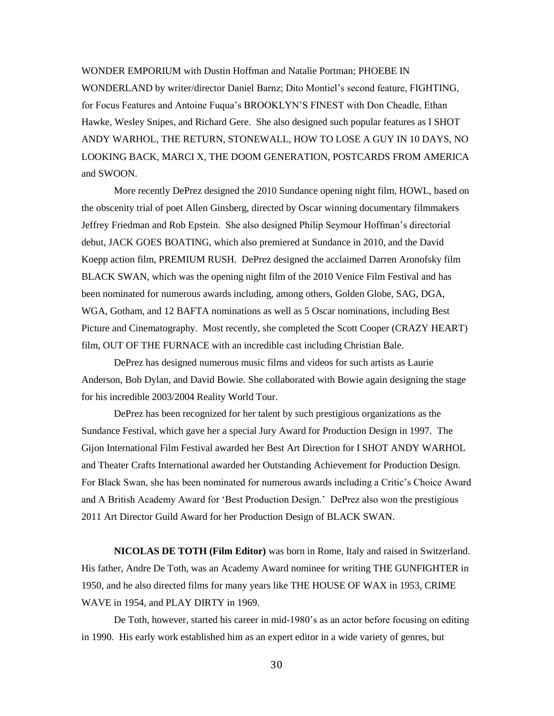WONDER EMPORIUM with Dustin Hoffman and Natalie Portman; PHOEBE IN WONDERLAND by writer/director Daniel Barnz; Dito Montiel's second feature, FIGHTING, for Focus Features and Antoine Fuqua's BROOKLYN'S FINEST with Don Cheadle, Ethan Hawke, Wesley Snipes, and Richard Gere. She also designed such popular features as I SHOT ANDY WARHOL, THE RETURN, STONEWALL, HOW TO LOSE A GUY IN 10 DAYS, NO LOOKING BACK, MARCI X, THE DOOM GENERATION, POSTCARDS FROM AMERICA and SWOON.

More recently DePrez designed the 2010 Sundance opening night film, HOWL, based on the obscenity trial of poet Allen Ginsberg, directed by Oscar winning documentary filmmakers Jeffrey Friedman and Rob Epstein. She also designed Philip Seymour Hoffman's directorial debut, JACK GOES BOATING, which also premiered at Sundance in 2010, and the David Koepp action film, PREMIUM RUSH. DePrez designed the acclaimed Darren Aronofsky film BLACK SWAN, which was the opening night film of the 2010 Venice Film Festival and has been nominated for numerous awards including, among others, Golden Globe, SAG, DGA, WGA, Gotham, and 12 BAFTA nominations as well as 5 Oscar nominations, including Best Picture and Cinematography. Most recently, she completed the Scott Cooper (CRAZY HEART) film, OUT OF THE FURNACE with an incredible cast including Christian Bale.

DePrez has designed numerous music films and videos for such artists as Laurie Anderson, Bob Dylan, and David Bowie. She collaborated with Bowie again designing the stage for his incredible 2003/2004 Reality World Tour.

DePrez has been recognized for her talent by such prestigious organizations as the Sundance Festival, which gave her a special Jury Award for Production Design in 1997. The Gijon International Film Festival awarded her Best Art Direction for I SHOT ANDY WARHOL and Theater Crafts International awarded her Outstanding Achievement for Production Design. For Black Swan, she has been nominated for numerous awards including a Critic's Choice Award and A British Academy Award for 'Best Production Design.' DePrez also won the prestigious 2011 Art Director Guild Award for her Production Design of BLACK SWAN.

**NICOLAS DE TOTH (Film Editor)** was born in Rome, Italy and raised in Switzerland. His father, Andre De Toth, was an Academy Award nominee for writing THE GUNFIGHTER in 1950, and he also directed films for many years like THE HOUSE OF WAX in 1953, CRIME WAVE in 1954, and PLAY DIRTY in 1969.

De Toth, however, started his career in mid-1980's as an actor before focusing on editing in 1990. His early work established him as an expert editor in a wide variety of genres, but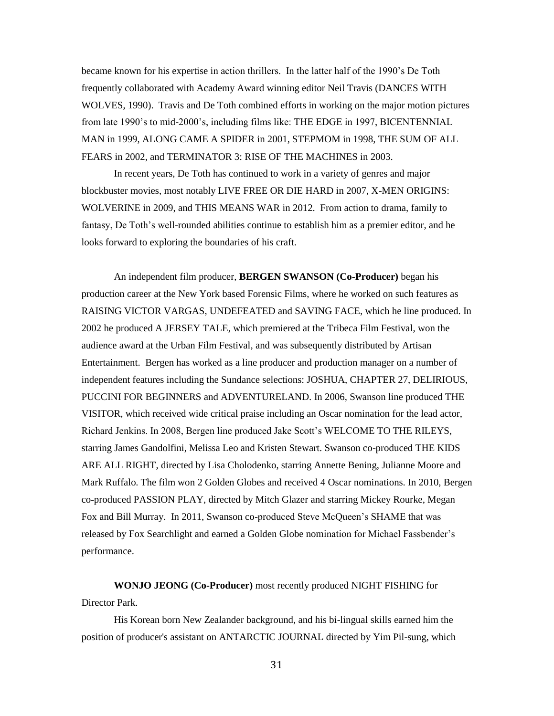became known for his expertise in action thrillers. In the latter half of the 1990's De Toth frequently collaborated with Academy Award winning editor Neil Travis (DANCES WITH WOLVES, 1990). Travis and De Toth combined efforts in working on the major motion pictures from late 1990's to mid-2000's, including films like: THE EDGE in 1997, BICENTENNIAL MAN in 1999, ALONG CAME A SPIDER in 2001, STEPMOM in 1998, THE SUM OF ALL FEARS in 2002, and TERMINATOR 3: RISE OF THE MACHINES in 2003.

In recent years, De Toth has continued to work in a variety of genres and major blockbuster movies, most notably LIVE FREE OR DIE HARD in 2007, X-MEN ORIGINS: WOLVERINE in 2009, and THIS MEANS WAR in 2012. From action to drama, family to fantasy, De Toth's well-rounded abilities continue to establish him as a premier editor, and he looks forward to exploring the boundaries of his craft.

An independent film producer, **BERGEN SWANSON (Co-Producer)** began his production career at the New York based Forensic Films, where he worked on such features as RAISING VICTOR VARGAS, UNDEFEATED and SAVING FACE, which he line produced. In 2002 he produced A JERSEY TALE, which premiered at the Tribeca Film Festival, won the audience award at the Urban Film Festival, and was subsequently distributed by Artisan Entertainment. Bergen has worked as a line producer and production manager on a number of independent features including the Sundance selections: JOSHUA, CHAPTER 27, DELIRIOUS, PUCCINI FOR BEGINNERS and ADVENTURELAND. In 2006, Swanson line produced THE VISITOR, which received wide critical praise including an Oscar nomination for the lead actor, Richard Jenkins. In 2008, Bergen line produced Jake Scott's WELCOME TO THE RILEYS, starring James Gandolfini, Melissa Leo and Kristen Stewart. Swanson co-produced THE KIDS ARE ALL RIGHT, directed by Lisa Cholodenko, starring Annette Bening, Julianne Moore and Mark Ruffalo. The film won 2 Golden Globes and received 4 Oscar nominations. In 2010, Bergen co-produced PASSION PLAY, directed by Mitch Glazer and starring Mickey Rourke, Megan Fox and Bill Murray. In 2011, Swanson co-produced Steve McQueen's SHAME that was released by Fox Searchlight and earned a Golden Globe nomination for Michael Fassbender's performance.

**WONJO JEONG (Co-Producer)** most recently produced NIGHT FISHING for Director Park.

His Korean born New Zealander background, and his bi-lingual skills earned him the position of producer's assistant on ANTARCTIC JOURNAL directed by Yim Pil-sung, which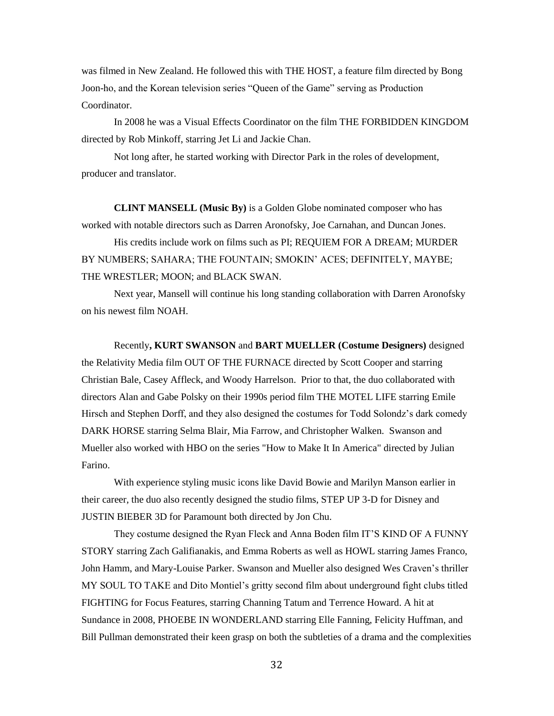was filmed in New Zealand. He followed this with THE HOST, a feature film directed by Bong Joon-ho, and the Korean television series "Queen of the Game" serving as Production Coordinator.

In 2008 he was a Visual Effects Coordinator on the film THE FORBIDDEN KINGDOM directed by Rob Minkoff, starring Jet Li and Jackie Chan.

Not long after, he started working with Director Park in the roles of development, producer and translator.

**CLINT MANSELL (Music By)** is a Golden Globe nominated composer who has worked with notable directors such as Darren Aronofsky, Joe Carnahan, and Duncan Jones.

His credits include work on films such as PI; REQUIEM FOR A DREAM; MURDER BY NUMBERS; SAHARA; THE FOUNTAIN; SMOKIN' ACES; DEFINITELY, MAYBE; THE WRESTLER; MOON; and BLACK SWAN.

Next year, Mansell will continue his long standing collaboration with Darren Aronofsky on his newest film NOAH.

Recently**, KURT SWANSON** and **BART MUELLER (Costume Designers)** designed the Relativity Media film OUT OF THE FURNACE directed by Scott Cooper and starring Christian Bale, Casey Affleck, and Woody Harrelson. Prior to that, the duo collaborated with directors Alan and Gabe Polsky on their 1990s period film THE MOTEL LIFE starring Emile Hirsch and Stephen Dorff, and they also designed the costumes for Todd Solondz's dark comedy DARK HORSE starring Selma Blair, Mia Farrow, and Christopher Walken. Swanson and Mueller also worked with HBO on the series "How to Make It In America" directed by Julian Farino.

With experience styling music icons like David Bowie and Marilyn Manson earlier in their career, the duo also recently designed the studio films, STEP UP 3-D for Disney and JUSTIN BIEBER 3D for Paramount both directed by Jon Chu.

They costume designed the Ryan Fleck and Anna Boden film IT'S KIND OF A FUNNY STORY starring Zach Galifianakis, and Emma Roberts as well as HOWL starring James Franco, John Hamm, and Mary-Louise Parker. Swanson and Mueller also designed Wes Craven's thriller MY SOUL TO TAKE and Dito Montiel's gritty second film about underground fight clubs titled FIGHTING for Focus Features, starring Channing Tatum and Terrence Howard. A hit at Sundance in 2008, PHOEBE IN WONDERLAND starring Elle Fanning, Felicity Huffman, and Bill Pullman demonstrated their keen grasp on both the subtleties of a drama and the complexities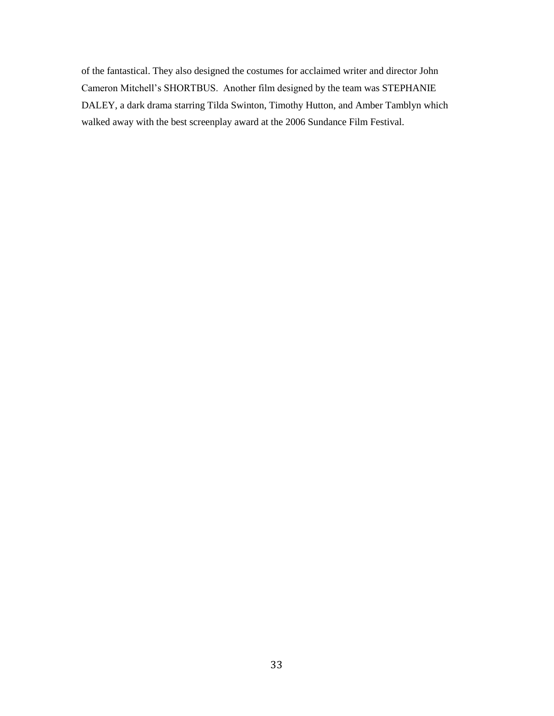of the fantastical. They also designed the costumes for acclaimed writer and director John Cameron Mitchell's SHORTBUS. Another film designed by the team was STEPHANIE DALEY, a dark drama starring Tilda Swinton, Timothy Hutton, and Amber Tamblyn which walked away with the best screenplay award at the 2006 Sundance Film Festival.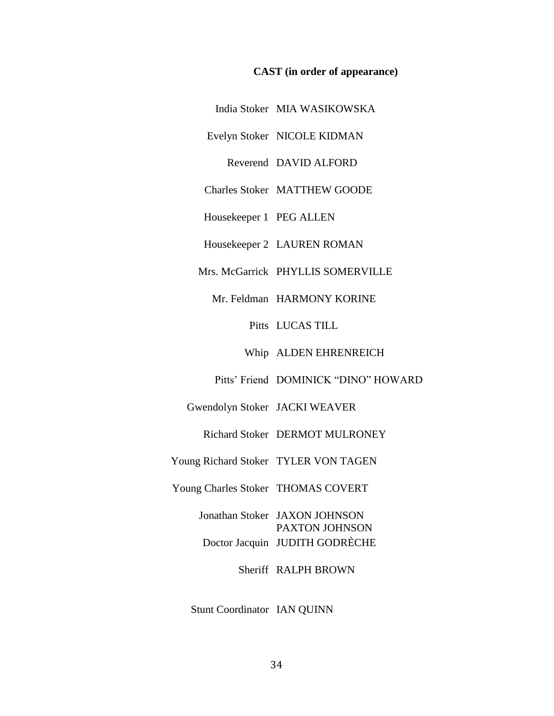#### **CAST (in order of appearance)**

India Stoker MIA WASIKOWSKA

Evelyn Stoker NICOLE KIDMAN

Reverend DAVID ALFORD

Charles Stoker MATTHEW GOODE

Housekeeper 1 PEG ALLEN

Housekeeper 2 LAUREN ROMAN

Mrs. McGarrick PHYLLIS SOMERVILLE

Mr. Feldman HARMONY KORINE

Pitts LUCAS TILL

Whip ALDEN EHRENREICH

Pitts' Friend DOMINICK "DINO" HOWARD

Gwendolyn Stoker JACKI WEAVER

Richard Stoker DERMOT MULRONEY

Young Richard Stoker TYLER VON TAGEN

Young Charles Stoker THOMAS COVERT

Jonathan Stoker JAXON JOHNSON PAXTON JOHNSON Doctor Jacquin JUDITH GODRÈCHE

Sheriff RALPH BROWN

Stunt Coordinator IAN QUINN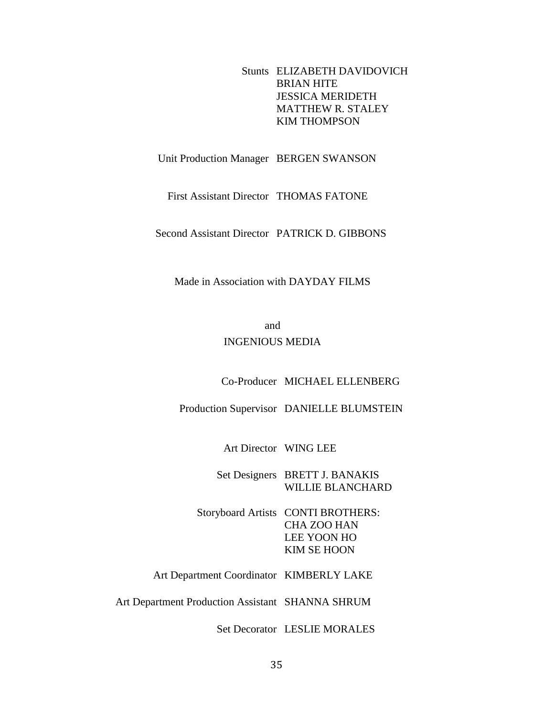Stunts ELIZABETH DAVIDOVICH BRIAN HITE JESSICA MERIDETH MATTHEW R. STALEY KIM THOMPSON

Unit Production Manager BERGEN SWANSON

First Assistant Director THOMAS FATONE

Second Assistant Director PATRICK D. GIBBONS

Made in Association with DAYDAY FILMS

and INGENIOUS MEDIA

Co-Producer MICHAEL ELLENBERG

Production Supervisor DANIELLE BLUMSTEIN

Art Director WING LEE

Set Designers BRETT J. BANAKIS WILLIE BLANCHARD

Storyboard Artists CONTI BROTHERS: CHA ZOO HAN LEE YOON HO KIM SE HOON

Art Department Coordinator KIMBERLY LAKE

Art Department Production Assistant SHANNA SHRUM

Set Decorator LESLIE MORALES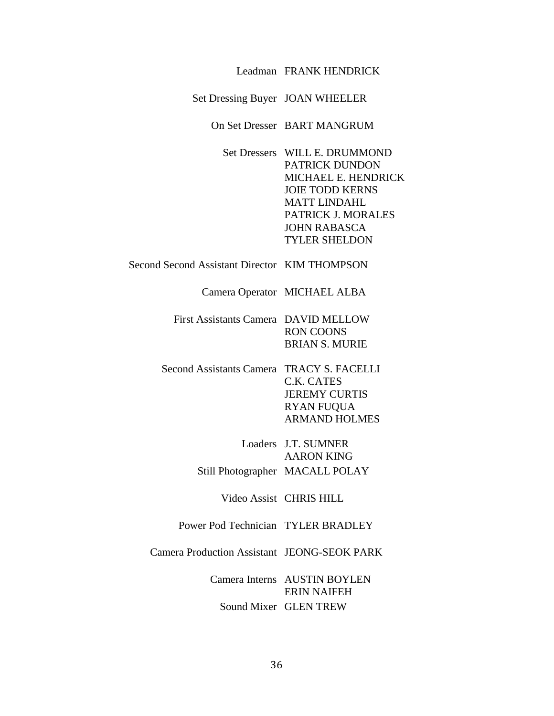| Set Dressing Buyer JOAN WHEELER                                                                                                                                                              |
|----------------------------------------------------------------------------------------------------------------------------------------------------------------------------------------------|
| On Set Dresser BART MANGRUM                                                                                                                                                                  |
| Set Dressers WILL E. DRUMMOND<br>PATRICK DUNDON<br>MICHAEL E. HENDRICK<br><b>JOIE TODD KERNS</b><br><b>MATT LINDAHL</b><br>PATRICK J. MORALES<br><b>JOHN RABASCA</b><br><b>TYLER SHELDON</b> |
| Second Second Assistant Director KIM THOMPSON                                                                                                                                                |
| Camera Operator MICHAEL ALBA                                                                                                                                                                 |
| First Assistants Camera DAVID MELLOW<br><b>RON COONS</b><br><b>BRIAN S. MURIE</b>                                                                                                            |
| Second Assistants Camera TRACY S. FACELLI<br>C.K. CATES<br><b>JEREMY CURTIS</b><br><b>RYAN FUQUA</b><br><b>ARMAND HOLMES</b>                                                                 |
| Loaders J.T. SUMNER<br><b>AARON KING</b>                                                                                                                                                     |
| Still Photographer MACALL POLAY                                                                                                                                                              |
| Video Assist CHRIS HILL                                                                                                                                                                      |
| Power Pod Technician TYLER BRADLEY                                                                                                                                                           |
| <b>Camera Production Assistant JEONG-SEOK PARK</b>                                                                                                                                           |
| Camera Interns AUSTIN BOYLEN<br><b>ERIN NAIFEH</b><br>Sound Mixer GLEN TREW                                                                                                                  |
|                                                                                                                                                                                              |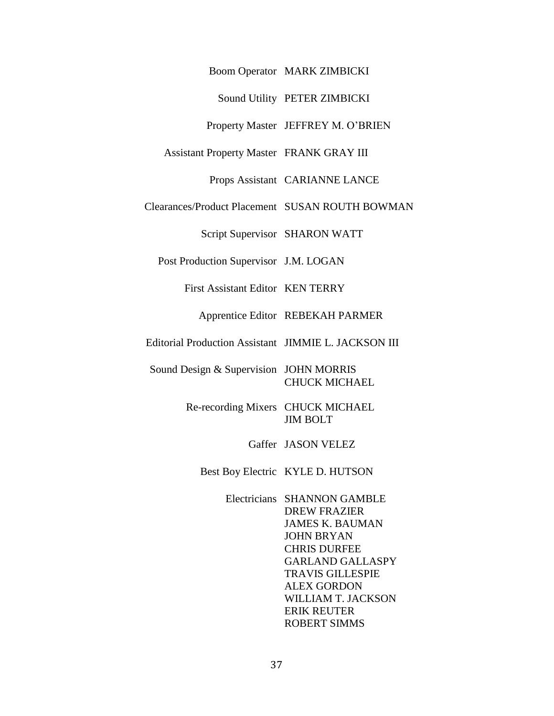Boom Operator MARK ZIMBICKI

Sound Utility PETER ZIMBICKI

Property Master JEFFREY M. O'BRIEN

Assistant Property Master FRANK GRAY III

Props Assistant CARIANNE LANCE

Clearances/Product Placement SUSAN ROUTH BOWMAN

Script Supervisor SHARON WATT

Post Production Supervisor J.M. LOGAN

First Assistant Editor KEN TERRY

Apprentice Editor REBEKAH PARMER

Editorial Production Assistant JIMMIE L. JACKSON III

Sound Design & Supervision JOHN MORRIS CHUCK MICHAEL

> Re-recording Mixers CHUCK MICHAEL JIM BOLT

> > Gaffer JASON VELEZ

Best Boy Electric KYLE D. HUTSON

Electricians SHANNON GAMBLE DREW FRAZIER JAMES K. BAUMAN JOHN BRYAN CHRIS DURFEE GARLAND GALLASPY TRAVIS GILLESPIE ALEX GORDON WILLIAM T. JACKSON ERIK REUTER ROBERT SIMMS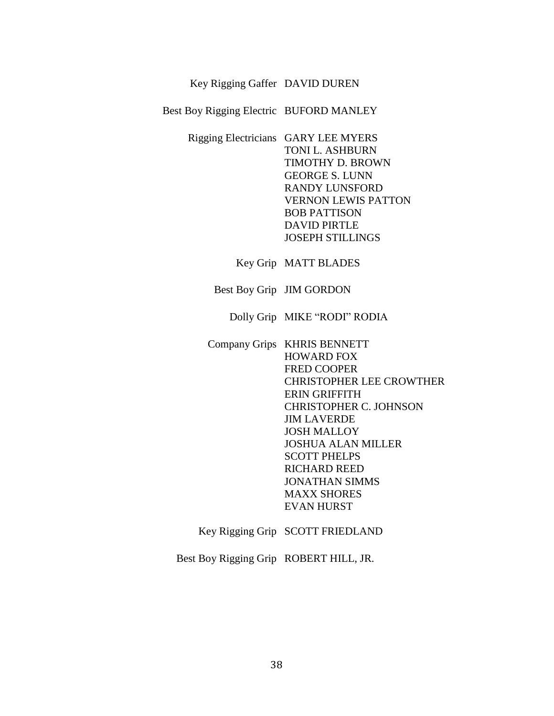## Key Rigging Gaffer DAVID DUREN

Best Boy Rigging Electric BUFORD MANLEY

Rigging Electricians GARY LEE MYERS TONI L. ASHBURN TIMOTHY D. BROWN GEORGE S. LUNN RANDY LUNSFORD VERNON LEWIS PATTON BOB PATTISON DAVID PIRTLE JOSEPH STILLINGS

Key Grip MATT BLADES

Best Boy Grip JIM GORDON

Dolly Grip MIKE "RODI" RODIA

Company Grips KHRIS BENNETT HOWARD FOX FRED COOPER CHRISTOPHER LEE CROWTHER ERIN GRIFFITH CHRISTOPHER C. JOHNSON JIM LAVERDE JOSH MALLOY JOSHUA ALAN MILLER SCOTT PHELPS RICHARD REED JONATHAN SIMMS MAXX SHORES EVAN HURST

Key Rigging Grip SCOTT FRIEDLAND

Best Boy Rigging Grip ROBERT HILL, JR.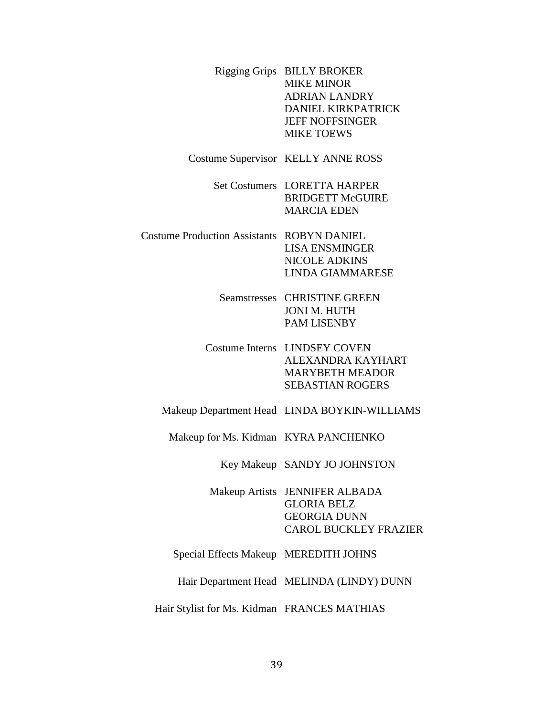|                                       | Rigging Grips BILLY BROKER<br><b>MIKE MINOR</b><br><b>ADRIAN LANDRY</b><br>DANIEL KIRKPATRICK<br><b>JEFF NOFFSINGER</b><br><b>MIKE TOEWS</b> |
|---------------------------------------|----------------------------------------------------------------------------------------------------------------------------------------------|
|                                       | <b>Costume Supervisor KELLY ANNE ROSS</b>                                                                                                    |
|                                       | Set Costumers LORETTA HARPER<br><b>BRIDGETT McGUIRE</b><br><b>MARCIA EDEN</b>                                                                |
| <b>Costume Production Assistants</b>  | <b>ROBYN DANIEL</b><br><b>LISA ENSMINGER</b><br><b>NICOLE ADKINS</b><br><b>LINDA GIAMMARESE</b>                                              |
|                                       | <b>Seamstresses CHRISTINE GREEN</b><br><b>JONI M. HUTH</b><br><b>PAM LISENBY</b>                                                             |
|                                       | Costume Interns LINDSEY COVEN<br>ALEXANDRA KAYHART<br><b>MARYBETH MEADOR</b><br><b>SEBASTIAN ROGERS</b>                                      |
|                                       | Makeup Department Head LINDA BOYKIN-WILLIAMS                                                                                                 |
| Makeup for Ms. Kidman KYRA PANCHENKO  |                                                                                                                                              |
|                                       | Key Makeup SANDY JO JOHNSTON                                                                                                                 |
| <b>Makeup Artists</b>                 | <b>JENNIFER ALBADA</b><br><b>GLORIA BELZ</b><br><b>GEORGIA DUNN</b><br><b>CAROL BUCKLEY FRAZIER</b>                                          |
| Special Effects Makeup MEREDITH JOHNS |                                                                                                                                              |
|                                       | Hair Department Head MELINDA (LINDY) DUNN                                                                                                    |
|                                       |                                                                                                                                              |

Hair Stylist for Ms. Kidman FRANCES MATHIAS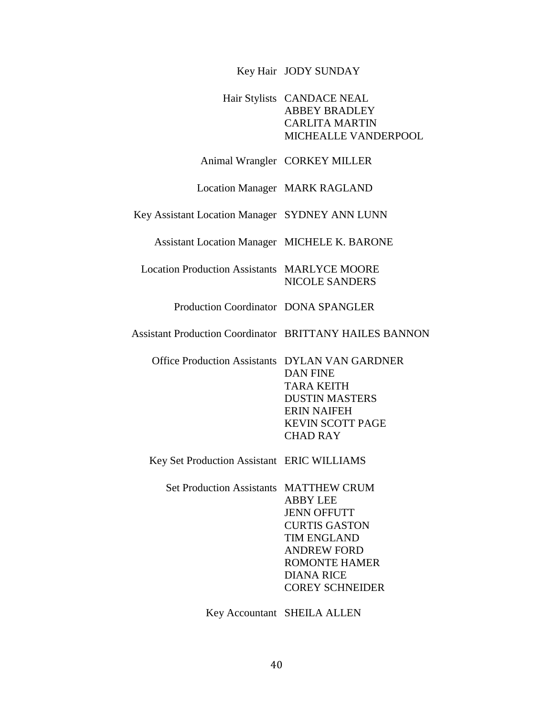### Key Hair JODY SUNDAY

## Hair Stylists CANDACE NEAL ABBEY BRADLEY CARLITA MARTIN MICHEALLE VANDERPOOL

#### Animal Wrangler CORKEY MILLER

Location Manager MARK RAGLAND

Key Assistant Location Manager SYDNEY ANN LUNN

Assistant Location Manager MICHELE K. BARONE

Location Production Assistants MARLYCE MOORE NICOLE SANDERS

Production Coordinator DONA SPANGLER

Assistant Production Coordinator BRITTANY HAILES BANNON

Office Production Assistants DYLAN VAN GARDNER DAN FINE TARA KEITH DUSTIN MASTERS ERIN NAIFEH KEVIN SCOTT PAGE CHAD RAY

Key Set Production Assistant ERIC WILLIAMS

Set Production Assistants MATTHEW CRUM ABBY LEE JENN OFFUTT CURTIS GASTON TIM ENGLAND ANDREW FORD ROMONTE HAMER DIANA RICE COREY SCHNEIDER

Key Accountant SHEILA ALLEN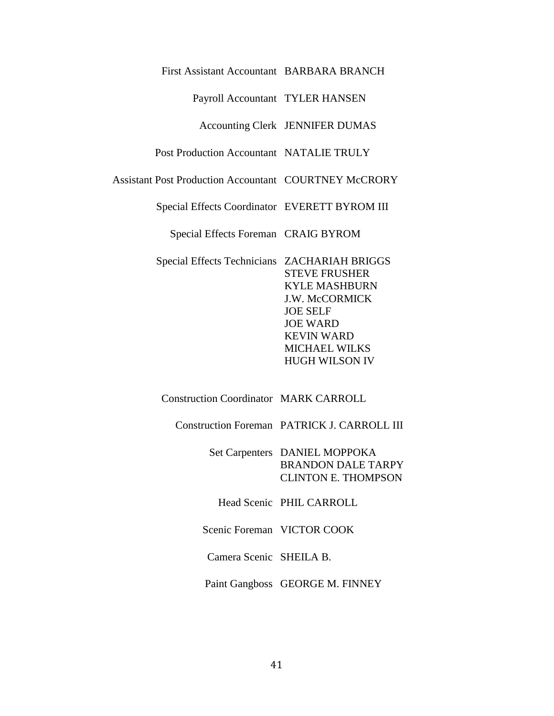## First Assistant Accountant BARBARA BRANCH

Payroll Accountant TYLER HANSEN

## Accounting Clerk JENNIFER DUMAS

## Post Production Accountant NATALIE TRULY

Assistant Post Production Accountant COURTNEY McCRORY

Special Effects Coordinator EVERETT BYROM III

Special Effects Foreman CRAIG BYROM

Special Effects Technicians ZACHARIAH BRIGGS STEVE FRUSHER KYLE MASHBURN J.W. McCORMICK JOE SELF JOE WARD KEVIN WARD MICHAEL WILKS HUGH WILSON IV

# Construction Coordinator MARK CARROLL

Construction Foreman PATRICK J. CARROLL III

| Set Carpenters DANIEL MOPPOKA |
|-------------------------------|
| <b>BRANDON DALE TARPY</b>     |
| <b>CLINTON E. THOMPSON</b>    |

Head Scenic PHIL CARROLL

Scenic Foreman VICTOR COOK

Camera Scenic SHEILA B.

Paint Gangboss GEORGE M. FINNEY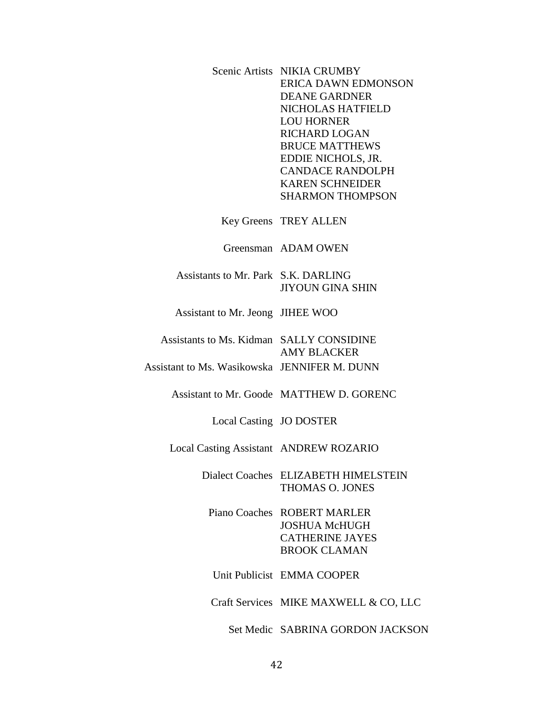|                                              | Scenic Artists NIKIA CRUMBY<br><b>ERICA DAWN EDMONSON</b><br><b>DEANE GARDNER</b><br>NICHOLAS HATFIELD<br><b>LOU HORNER</b><br><b>RICHARD LOGAN</b><br><b>BRUCE MATTHEWS</b><br>EDDIE NICHOLS, JR.<br><b>CANDACE RANDOLPH</b><br><b>KAREN SCHNEIDER</b><br><b>SHARMON THOMPSON</b> |
|----------------------------------------------|------------------------------------------------------------------------------------------------------------------------------------------------------------------------------------------------------------------------------------------------------------------------------------|
|                                              | Key Greens TREY ALLEN                                                                                                                                                                                                                                                              |
|                                              | Greensman ADAM OWEN                                                                                                                                                                                                                                                                |
| Assistants to Mr. Park S.K. DARLING          | <b>JIYOUN GINA SHIN</b>                                                                                                                                                                                                                                                            |
| Assistant to Mr. Jeong JIHEE WOO             |                                                                                                                                                                                                                                                                                    |
| Assistants to Ms. Kidman SALLY CONSIDINE     | <b>AMY BLACKER</b>                                                                                                                                                                                                                                                                 |
| Assistant to Ms. Wasikowska JENNIFER M. DUNN |                                                                                                                                                                                                                                                                                    |
|                                              | Assistant to Mr. Goode MATTHEW D. GORENC                                                                                                                                                                                                                                           |
| Local Casting JO DOSTER                      |                                                                                                                                                                                                                                                                                    |
| Local Casting Assistant ANDREW ROZARIO       |                                                                                                                                                                                                                                                                                    |
|                                              | Dialect Coaches ELIZABETH HIMELSTEIN<br>THOMAS O. JONES                                                                                                                                                                                                                            |
|                                              | Piano Coaches ROBERT MARLER<br><b>JOSHUA McHUGH</b><br><b>CATHERINE JAYES</b><br><b>BROOK CLAMAN</b>                                                                                                                                                                               |
|                                              | Unit Publicist EMMA COOPER                                                                                                                                                                                                                                                         |
|                                              | Craft Services MIKE MAXWELL & CO, LLC                                                                                                                                                                                                                                              |
|                                              | Set Medic SABRINA GORDON JACKSON                                                                                                                                                                                                                                                   |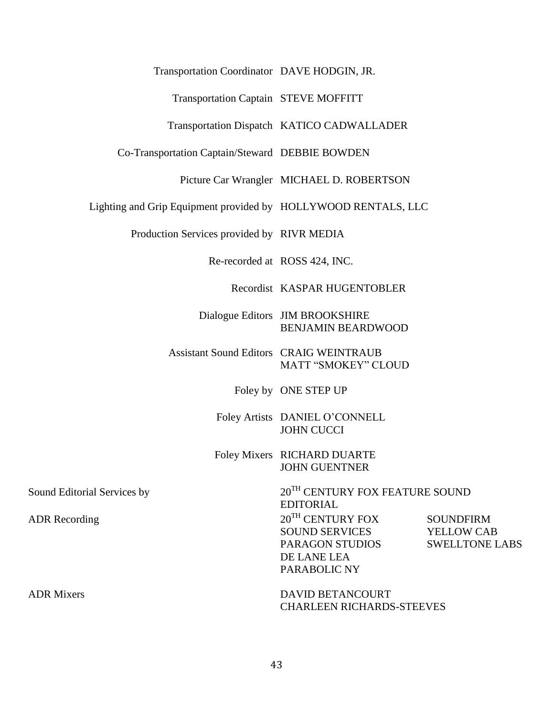## Transportation Coordinator DAVE HODGIN, JR.

## Transportation Captain STEVE MOFFITT

## Transportation Dispatch KATICO CADWALLADER

Co-Transportation Captain/Steward DEBBIE BOWDEN

Picture Car Wrangler MICHAEL D. ROBERTSON

Lighting and Grip Equipment provided by HOLLYWOOD RENTALS, LLC

Production Services provided by RIVR MEDIA

Re-recorded at ROSS 424, INC.

Recordist KASPAR HUGENTOBLER

Dialogue Editors JIM BROOKSHIRE BENJAMIN BEARDWOOD

Assistant Sound Editors CRAIG WEINTRAUB MATT "SMOKEY" CLOUD

Foley by ONE STEP UP

Foley Artists DANIEL O'CONNELL JOHN CUCCI

Foley Mixers RICHARD DUARTE JOHN GUENTNER

Sound Editorial Services by 20<sup>TH</sup> CENTURY FOX FEATURE SOUND

EDITORIAL ADR Recording  $20^{TH}$  CENTURY FOX SOUND SERVICES PARAGON STUDIOS DE LANE LEA PARABOLIC NY **SOUNDFIRM** YELLOW CAB SWELLTONE LABS

ADR Mixers **DAVID BETANCOURT** CHARLEEN RICHARDS-STEEVES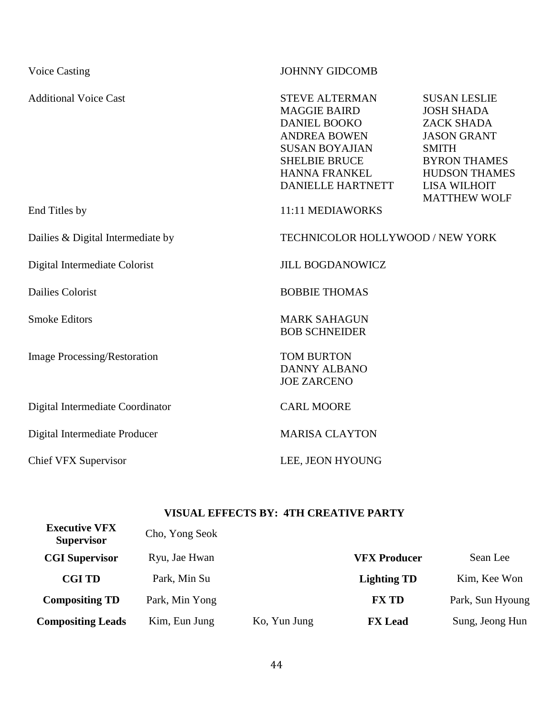| <b>Voice Casting</b>                | <b>JOHNNY GIDCOMB</b>                                                                                                                                                                           |                                                                                                                                                                                                  |
|-------------------------------------|-------------------------------------------------------------------------------------------------------------------------------------------------------------------------------------------------|--------------------------------------------------------------------------------------------------------------------------------------------------------------------------------------------------|
| <b>Additional Voice Cast</b>        | <b>STEVE ALTERMAN</b><br><b>MAGGIE BAIRD</b><br><b>DANIEL BOOKO</b><br><b>ANDREA BOWEN</b><br><b>SUSAN BOYAJIAN</b><br><b>SHELBIE BRUCE</b><br><b>HANNA FRANKEL</b><br><b>DANIELLE HARTNETT</b> | <b>SUSAN LESLIE</b><br><b>JOSH SHADA</b><br><b>ZACK SHADA</b><br><b>JASON GRANT</b><br><b>SMITH</b><br><b>BYRON THAMES</b><br><b>HUDSON THAMES</b><br><b>LISA WILHOIT</b><br><b>MATTHEW WOLF</b> |
| End Titles by                       | 11:11 MEDIAWORKS                                                                                                                                                                                |                                                                                                                                                                                                  |
| Dailies & Digital Intermediate by   | TECHNICOLOR HOLLYWOOD / NEW YORK                                                                                                                                                                |                                                                                                                                                                                                  |
| Digital Intermediate Colorist       | <b>JILL BOGDANOWICZ</b>                                                                                                                                                                         |                                                                                                                                                                                                  |
| <b>Dailies Colorist</b>             | <b>BOBBIE THOMAS</b>                                                                                                                                                                            |                                                                                                                                                                                                  |
| <b>Smoke Editors</b>                | <b>MARK SAHAGUN</b><br><b>BOB SCHNEIDER</b>                                                                                                                                                     |                                                                                                                                                                                                  |
| <b>Image Processing/Restoration</b> | <b>TOM BURTON</b><br><b>DANNY ALBANO</b><br><b>JOE ZARCENO</b>                                                                                                                                  |                                                                                                                                                                                                  |
| Digital Intermediate Coordinator    | <b>CARL MOORE</b>                                                                                                                                                                               |                                                                                                                                                                                                  |
| Digital Intermediate Producer       | <b>MARISA CLAYTON</b>                                                                                                                                                                           |                                                                                                                                                                                                  |
| Chief VFX Supervisor                | LEE, JEON HYOUNG                                                                                                                                                                                |                                                                                                                                                                                                  |

# **VISUAL EFFECTS BY: 4TH CREATIVE PARTY**

| <b>Executive VFX</b><br><b>Supervisor</b> | Cho, Yong Seok |              |                     |                  |
|-------------------------------------------|----------------|--------------|---------------------|------------------|
| <b>CGI Supervisor</b>                     | Ryu, Jae Hwan  |              | <b>VFX Producer</b> | Sean Lee         |
| <b>CGI TD</b>                             | Park, Min Su   |              | <b>Lighting TD</b>  | Kim, Kee Won     |
| <b>Compositing TD</b>                     | Park, Min Yong |              | <b>FX TD</b>        | Park, Sun Hyoung |
| <b>Compositing Leads</b>                  | Kim, Eun Jung  | Ko, Yun Jung | <b>FX</b> Lead      | Sung, Jeong Hun  |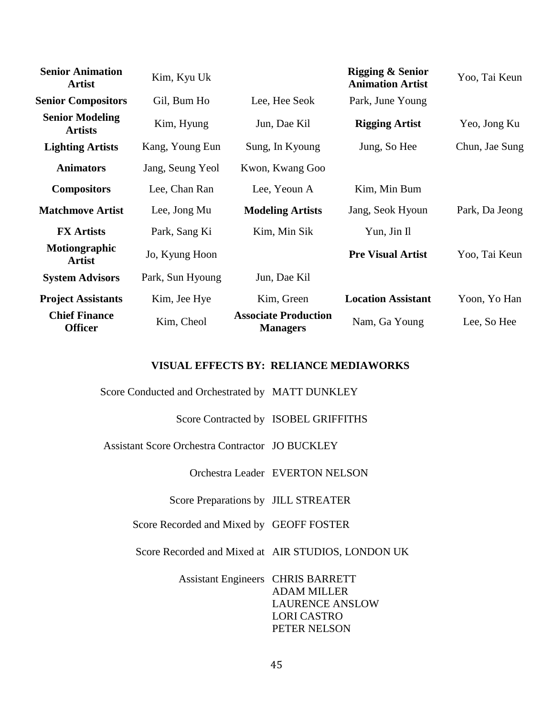| <b>Senior Animation</b><br><b>Artist</b> | Kim, Kyu Uk      |                                                | <b>Rigging &amp; Senior</b><br><b>Animation Artist</b> | Yoo, Tai Keun  |
|------------------------------------------|------------------|------------------------------------------------|--------------------------------------------------------|----------------|
| <b>Senior Compositors</b>                | Gil, Bum Ho      | Lee, Hee Seok                                  | Park, June Young                                       |                |
| <b>Senior Modeling</b><br><b>Artists</b> | Kim, Hyung       | Jun, Dae Kil                                   | <b>Rigging Artist</b>                                  | Yeo, Jong Ku   |
| <b>Lighting Artists</b>                  | Kang, Young Eun  | Sung, In Kyoung                                | Jung, So Hee                                           | Chun, Jae Sung |
| <b>Animators</b>                         | Jang, Seung Yeol | Kwon, Kwang Goo                                |                                                        |                |
| <b>Compositors</b>                       | Lee, Chan Ran    | Lee, Yeoun A                                   | Kim, Min Bum                                           |                |
| <b>Matchmove Artist</b>                  | Lee, Jong Mu     | <b>Modeling Artists</b>                        | Jang, Seok Hyoun                                       | Park, Da Jeong |
| <b>FX</b> Artists                        | Park, Sang Ki    | Kim, Min Sik                                   | Yun, Jin Il                                            |                |
| Motiongraphic<br><b>Artist</b>           | Jo, Kyung Hoon   |                                                | <b>Pre Visual Artist</b>                               | Yoo, Tai Keun  |
| <b>System Advisors</b>                   | Park, Sun Hyoung | Jun, Dae Kil                                   |                                                        |                |
| <b>Project Assistants</b>                | Kim, Jee Hye     | Kim, Green                                     | <b>Location Assistant</b>                              | Yoon, Yo Han   |
| <b>Chief Finance</b><br><b>Officer</b>   | Kim, Cheol       | <b>Associate Production</b><br><b>Managers</b> | Nam, Ga Young                                          | Lee, So Hee    |

## **VISUAL EFFECTS BY: RELIANCE MEDIAWORKS**

Score Conducted and Orchestrated by MATT DUNKLEY

Score Contracted by ISOBEL GRIFFITHS

Assistant Score Orchestra Contractor JO BUCKLEY

Orchestra Leader EVERTON NELSON

Score Preparations by JILL STREATER

Score Recorded and Mixed by GEOFF FOSTER

Score Recorded and Mixed at AIR STUDIOS, LONDON UK

Assistant Engineers CHRIS BARRETT ADAM MILLER LAURENCE ANSLOW LORI CASTRO PETER NELSON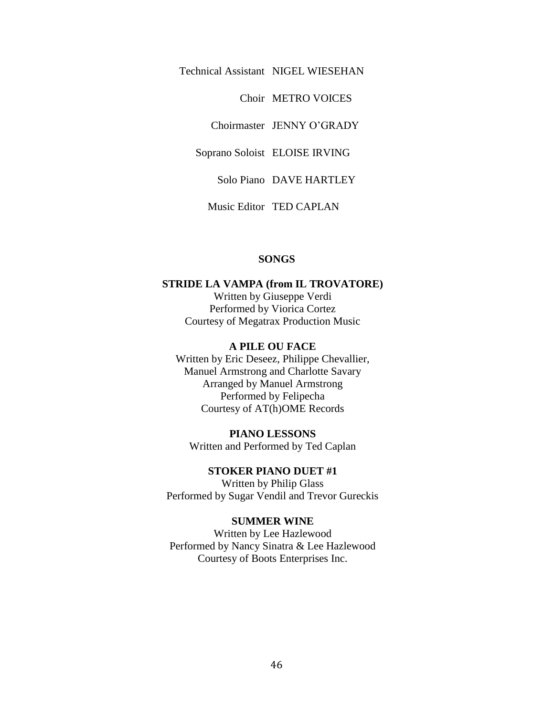Technical Assistant NIGEL WIESEHAN

Choir METRO VOICES

Choirmaster JENNY O'GRADY

Soprano Soloist ELOISE IRVING

Solo Piano DAVE HARTLEY

Music Editor TED CAPLAN

## **SONGS**

#### **STRIDE LA VAMPA (from IL TROVATORE)**

Written by Giuseppe Verdi Performed by Viorica Cortez Courtesy of Megatrax Production Music

#### **A PILE OU FACE**

Written by Eric Deseez, Philippe Chevallier, Manuel Armstrong and Charlotte Savary Arranged by Manuel Armstrong Performed by Felipecha Courtesy of AT(h)OME Records

**PIANO LESSONS** Written and Performed by Ted Caplan

**STOKER PIANO DUET #1** Written by Philip Glass Performed by Sugar Vendil and Trevor Gureckis

#### **SUMMER WINE**

Written by Lee Hazlewood Performed by Nancy Sinatra & Lee Hazlewood Courtesy of Boots Enterprises Inc.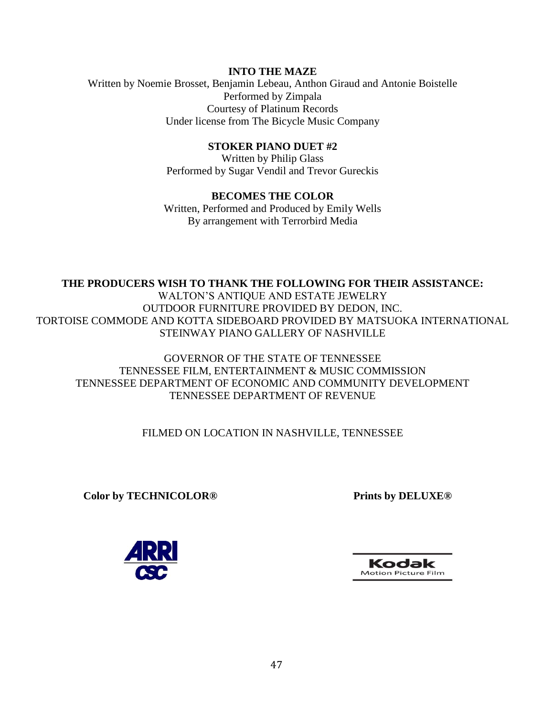## **INTO THE MAZE**

Written by Noemie Brosset, Benjamin Lebeau, Anthon Giraud and Antonie Boistelle Performed by Zimpala Courtesy of Platinum Records Under license from The Bicycle Music Company

## **STOKER PIANO DUET #2**

Written by Philip Glass Performed by Sugar Vendil and Trevor Gureckis

## **BECOMES THE COLOR** Written, Performed and Produced by Emily Wells By arrangement with Terrorbird Media

# **THE PRODUCERS WISH TO THANK THE FOLLOWING FOR THEIR ASSISTANCE:** WALTON'S ANTIQUE AND ESTATE JEWELRY OUTDOOR FURNITURE PROVIDED BY DEDON, INC. TORTOISE COMMODE AND KOTTA SIDEBOARD PROVIDED BY MATSUOKA INTERNATIONAL STEINWAY PIANO GALLERY OF NASHVILLE

# GOVERNOR OF THE STATE OF TENNESSEE TENNESSEE FILM, ENTERTAINMENT & MUSIC COMMISSION TENNESSEE DEPARTMENT OF ECONOMIC AND COMMUNITY DEVELOPMENT TENNESSEE DEPARTMENT OF REVENUE

# FILMED ON LOCATION IN NASHVILLE, TENNESSEE

**Color by TECHNICOLOR® Prints by DELUXE®**



Kodak **Motion Picture Film**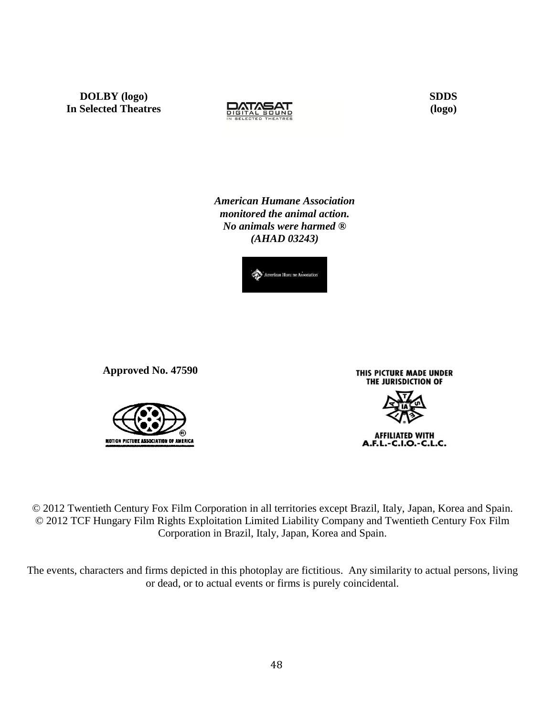**DOLBY (logo) In Selected Theatres**



 **SDDS (logo)**

*American Humane Association monitored the animal action. No animals were harmed ® (AHAD 03243)*



**Approved No. 47590**



THIS PICTURE MADE UNDER THE JURISDICTION OF

**AFFILIATED WITH** A.F.L.-C.I.O.-C.L.C.

© 2012 Twentieth Century Fox Film Corporation in all territories except Brazil, Italy, Japan, Korea and Spain. © 2012 TCF Hungary Film Rights Exploitation Limited Liability Company and Twentieth Century Fox Film Corporation in Brazil, Italy, Japan, Korea and Spain.

The events, characters and firms depicted in this photoplay are fictitious. Any similarity to actual persons, living or dead, or to actual events or firms is purely coincidental.